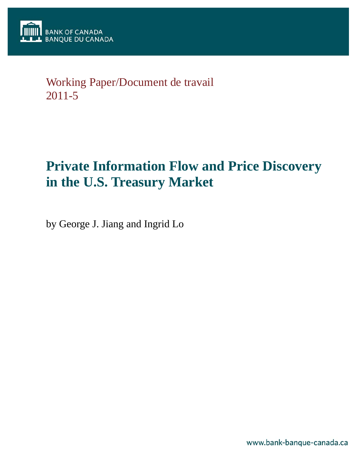## Working Paper/Document de travail 2011-5

# **Private Information Flow and Price Discovery in the U.S. Treasury Market**

by George J. Jiang and Ingrid Lo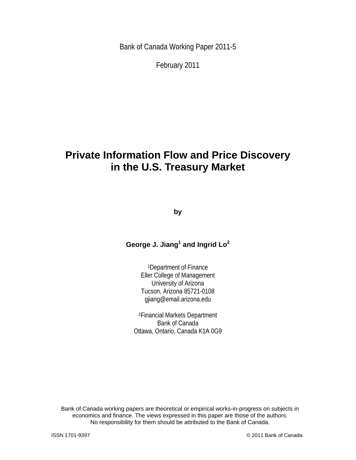Bank of Canada Working Paper 2011-5

February 2011

## **Private Information Flow and Price Discovery in the U.S. Treasury Market**

**by** 

### **George J. Jiang<sup>1</sup> and Ingrid Lo<sup>2</sup>**

1Department of Finance Eller College of Management University of Arizona Tucson, Arizona 85721-0108 gjiang@email.arizona.edu

2Financial Markets Department Bank of Canada Ottawa, Ontario, Canada K1A 0G9

Bank of Canada working papers are theoretical or empirical works-in-progress on subjects in economics and finance. The views expressed in this paper are those of the authors. No responsibility for them should be attributed to the Bank of Canada.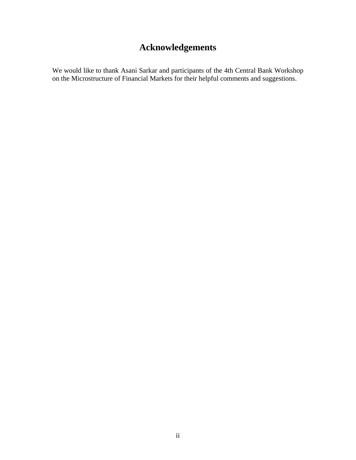## **Acknowledgements**

We would like to thank Asani Sarkar and participants of the 4th Central Bank Workshop on the Microstructure of Financial Markets for their helpful comments and suggestions.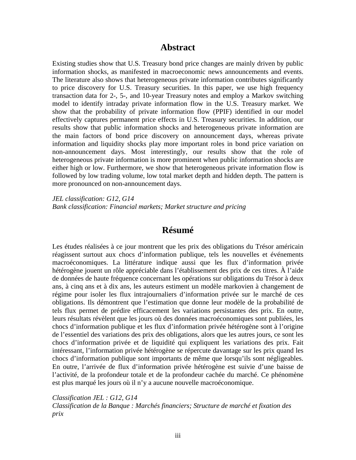### **Abstract**

Existing studies show that U.S. Treasury bond price changes are mainly driven by public information shocks, as manifested in macroeconomic news announcements and events. The literature also shows that heterogeneous private information contributes significantly to price discovery for U.S. Treasury securities. In this paper, we use high frequency transaction data for 2-, 5-, and 10-year Treasury notes and employ a Markov switching model to identify intraday private information flow in the U.S. Treasury market. We show that the probability of private information flow (PPIF) identified in our model effectively captures permanent price effects in U.S. Treasury securities. In addition, our results show that public information shocks and heterogeneous private information are the main factors of bond price discovery on announcement days, whereas private information and liquidity shocks play more important roles in bond price variation on non-announcement days. Most interestingly, our results show that the role of heterogeneous private information is more prominent when public information shocks are either high or low. Furthermore, we show that heterogeneous private information flow is followed by low trading volume, low total market depth and hidden depth. The pattern is more pronounced on non-announcement days.

*JEL classification: G12, G14 Bank classification: Financial markets; Market structure and pricing* 

### **Résumé**

Les études réalisées à ce jour montrent que les prix des obligations du Trésor américain réagissent surtout aux chocs d'information publique, tels les nouvelles et événements macroéconomiques. La littérature indique aussi que les flux d'information privée hétérogène jouent un rôle appréciable dans l'établissement des prix de ces titres. À l'aide de données de haute fréquence concernant les opérations sur obligations du Trésor à deux ans, à cinq ans et à dix ans, les auteurs estiment un modèle markovien à changement de régime pour isoler les flux intrajournaliers d'information privée sur le marché de ces obligations. Ils démontrent que l'estimation que donne leur modèle de la probabilité de tels flux permet de prédire efficacement les variations persistantes des prix. En outre, leurs résultats révèlent que les jours où des données macroéconomiques sont publiées, les chocs d'information publique et les flux d'information privée hétérogène sont à l'origine de l'essentiel des variations des prix des obligations, alors que les autres jours, ce sont les chocs d'information privée et de liquidité qui expliquent les variations des prix. Fait intéressant, l'information privée hétérogène se répercute davantage sur les prix quand les chocs d'information publique sont importants de même que lorsqu'ils sont négligeables. En outre, l'arrivée de flux d'information privée hétérogène est suivie d'une baisse de l'activité, de la profondeur totale et de la profondeur cachée du marché. Ce phénomène est plus marqué les jours où il n'y a aucune nouvelle macroéconomique.

*Classification JEL : G12, G14 Classification de la Banque : Marchés financiers; Structure de marché et fixation des prix*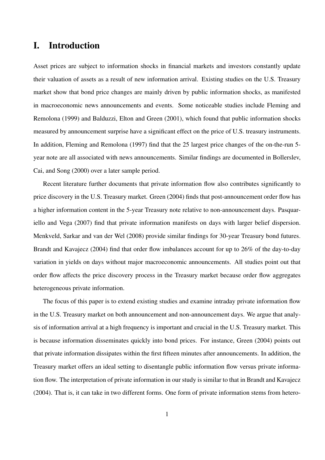## I. Introduction

Asset prices are subject to information shocks in financial markets and investors constantly update their valuation of assets as a result of new information arrival. Existing studies on the U.S. Treasury market show that bond price changes are mainly driven by public information shocks, as manifested in macroeconomic news announcements and events. Some noticeable studies include Fleming and Remolona (1999) and Balduzzi, Elton and Green (2001), which found that public information shocks measured by announcement surprise have a significant effect on the price of U.S. treasury instruments. In addition, Fleming and Remolona (1997) find that the 25 largest price changes of the on-the-run 5 year note are all associated with news announcements. Similar findings are documented in Bollerslev, Cai, and Song (2000) over a later sample period.

Recent literature further documents that private information flow also contributes significantly to price discovery in the U.S. Treasury market. Green (2004) finds that post-announcement order flow has a higher information content in the 5-year Treasury note relative to non-announcement days. Pasquariello and Vega (2007) find that private information manifests on days with larger belief dispersion. Menkveld, Sarkar and van der Wel (2008) provide similar findings for 30-year Treasury bond futures. Brandt and Kavajecz (2004) find that order flow imbalances account for up to 26% of the day-to-day variation in yields on days without major macroeconomic announcements. All studies point out that order flow affects the price discovery process in the Treasury market because order flow aggregates heterogeneous private information.

The focus of this paper is to extend existing studies and examine intraday private information flow in the U.S. Treasury market on both announcement and non-announcement days. We argue that analysis of information arrival at a high frequency is important and crucial in the U.S. Treasury market. This is because information disseminates quickly into bond prices. For instance, Green (2004) points out that private information dissipates within the first fifteen minutes after announcements. In addition, the Treasury market offers an ideal setting to disentangle public information flow versus private information flow. The interpretation of private information in our study is similar to that in Brandt and Kavajecz (2004). That is, it can take in two different forms. One form of private information stems from hetero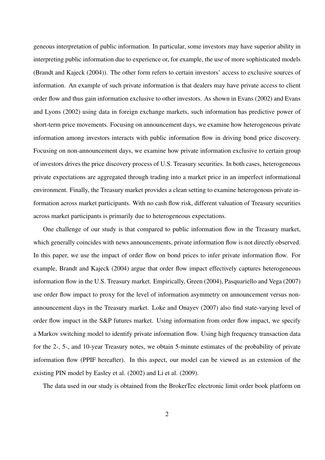geneous interpretation of public information. In particular, some investors may have superior ability in interpreting public information due to experience or, for example, the use of more sophisticated models (Brandt and Kajeck (2004)). The other form refers to certain investors' access to exclusive sources of information. An example of such private information is that dealers may have private access to client order flow and thus gain information exclusive to other investors. As shown in Evans (2002) and Evans and Lyons (2002) using data in foreign exchange markets, such information has predictive power of short-term price movements. Focusing on announcement days, we examine how heterogeneous private information among investors interacts with public information flow in driving bond price discovery. Focusing on non-announcement days, we examine how private information exclusive to certain group of investors drives the price discovery process of U.S. Treasury securities. In both cases, heterogeneous private expectations are aggregated through trading into a market price in an imperfect informational environment. Finally, the Treasury market provides a clean setting to examine heterogenous private information across market participants. With no cash flow risk, different valuation of Treasury securities across market participants is primarily due to heterogeneous expectations.

One challenge of our study is that compared to public information flow in the Treasury market, which generally coincides with news announcements, private information flow is not directly observed. In this paper, we use the impact of order flow on bond prices to infer private information flow. For example, Brandt and Kajeck (2004) argue that order flow impact effectively captures heterogeneous information flow in the U.S. Treasury market. Empirically, Green (2004), Pasquariello and Vega (2007) use order flow impact to proxy for the level of information asymmetry on announcement versus nonannouncement days in the Treasury market. Loke and Onayev (2007) also find state-varying level of order flow impact in the S&P futures market. Using information from order flow impact, we specify a Markov switching model to identify private information flow. Using high frequency transaction data for the 2-, 5-, and 10-year Treasury notes, we obtain 5-minute estimates of the probability of private information flow (PPIF hereafter). In this aspect, our model can be viewed as an extension of the existing PIN model by Easley et al. (2002) and Li et al. (2009).

The data used in our study is obtained from the BrokerTec electronic limit order book platform on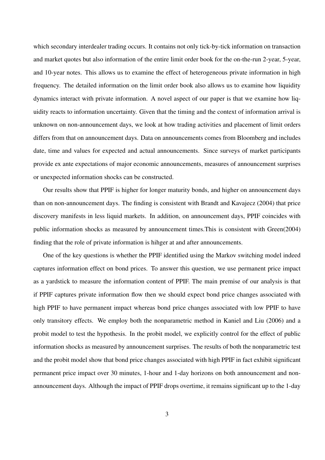which secondary interdealer trading occurs. It contains not only tick-by-tick information on transaction and market quotes but also information of the entire limit order book for the on-the-run 2-year, 5-year, and 10-year notes. This allows us to examine the effect of heterogeneous private information in high frequency. The detailed information on the limit order book also allows us to examine how liquidity dynamics interact with private information. A novel aspect of our paper is that we examine how liquidity reacts to information uncertainty. Given that the timing and the context of information arrival is unknown on non-announcement days, we look at how trading activities and placement of limit orders differs from that on announcement days. Data on announcements comes from Bloomberg and includes date, time and values for expected and actual announcements. Since surveys of market participants provide ex ante expectations of major economic announcements, measures of announcement surprises or unexpected information shocks can be constructed.

Our results show that PPIF is higher for longer maturity bonds, and higher on announcement days than on non-announcement days. The finding is consistent with Brandt and Kavajecz (2004) that price discovery manifests in less liquid markets. In addition, on announcement days, PPIF coincides with public information shocks as measured by announcement times.This is consistent with Green(2004) finding that the role of private information is hihger at and after announcements.

One of the key questions is whether the PPIF identified using the Markov switching model indeed captures information effect on bond prices. To answer this question, we use permanent price impact as a yardstick to measure the information content of PPIF. The main premise of our analysis is that if PPIF captures private information flow then we should expect bond price changes associated with high PPIF to have permanent impact whereas bond price changes associated with low PPIF to have only transitory effects. We employ both the nonparametric method in Kaniel and Liu (2006) and a probit model to test the hypothesis. In the probit model, we explicitly control for the effect of public information shocks as measured by announcement surprises. The results of both the nonparametric test and the probit model show that bond price changes associated with high PPIF in fact exhibit significant permanent price impact over 30 minutes, 1-hour and 1-day horizons on both announcement and nonannouncement days. Although the impact of PPIF drops overtime, it remains significant up to the 1-day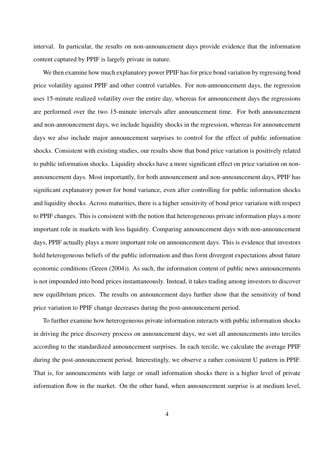interval. In particular, the results on non-announcement days provide evidence that the information content captured by PPIF is largely private in nature.

We then examine how much explanatory power PPIF has for price bond variation by regressing bond price volatility against PPIF and other control variables. For non-announcement days, the regression uses 15-minute realized volatility over the entire day, whereas for announcement days the regressions are performed over the two 15-minute intervals after announcement time. For both announcement and non-announcement days, we include liquidity shocks in the regression, whereas for announcement days we also include major announcement surprises to control for the effect of public information shocks. Consistent with existing studies, our results show that bond price variation is positively related to public information shocks. Liquidity shocks have a more significant effect on price variation on nonannouncement days. Most importantly, for both announcement and non-announcement days, PPIF has significant explanatory power for bond variance, even after controlling for public information shocks and liquidity shocks. Across maturities, there is a higher sensitivity of bond price variation with respect to PPIF changes. This is consistent with the notion that heterogeneous private information plays a more important role in markets with less liquidity. Comparing announcement days with non-announcement days, PPIF actually plays a more important role on announcement days. This is evidence that investors hold heterogeneous beliefs of the public information and thus form divergent expectations about future economic conditions (Green (2004)). As such, the information content of public news announcements is not impounded into bond prices instantaneously. Instead, it takes trading among investors to discover new equilibrium prices. The results on announcement days further show that the sensitivity of bond price variation to PPIF change decreases during the post-announcement period.

To further examine how heterogeneous private information interacts with public information shocks in driving the price discovery process on announcement days, we sort all announcements into terciles according to the standardized announcement surprises. In each tercile, we calculate the average PPIF during the post-announcement period. Interestingly, we observe a rather consistent U pattern in PPIF. That is, for announcements with large or small information shocks there is a higher level of private information flow in the market. On the other hand, when announcement surprise is at medium level,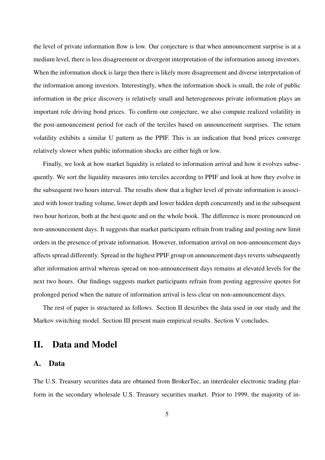the level of private information flow is low. Our conjecture is that when announcement surprise is at a medium level, there is less disagreement or divergent interpretation of the information among investors. When the information shock is large then there is likely more disagreement and diverse interpretation of the information among investors. Interestingly, when the information shock is small, the role of public information in the price discovery is relatively small and heterogeneous private information plays an important role driving bond prices. To confirm our conjecture, we also compute realized volatility in the post-announcement period for each of the terciles based on announcement surprises. The return volatility exhibits a similar U pattern as the PPIF. This is an indication that bond prices converge relatively slower when public information shocks are either high or low.

Finally, we look at how market liquidity is related to information arrival and how it evolves subsequently. We sort the liquidity measures into terciles according to PPIF and look at how they evolve in the subsequent two hours interval. The results show that a higher level of private information is associated with lower trading volume, lower depth and lower hidden depth concurrently and in the subsequent two hour horizon, both at the best quote and on the whole book. The difference is more pronounced on non-announcement days. It suggests that market participants refrain from trading and posting new limit orders in the presence of private information. However, information arrival on non-announcement days affects spread differently. Spread in the highest PPIF group on announcement days reverts subsequently after information arrival whereas spread on non-announcement days remains at elevated levels for the next two hours. Our findings suggests market participants refrain from posting aggressive quotes for prolonged period when the nature of information arrival is less clear on non-announcement days.

The rest of paper is structured as follows. Section II describes the data used in our study and the Markov switching model. Section III present main empirical results. Section V concludes.

## II. Data and Model

#### A. Data

The U.S. Treasury securities data are obtained from BrokerTec, an interdealer electronic trading platform in the secondary wholesale U.S. Treasury securities market. Prior to 1999, the majority of in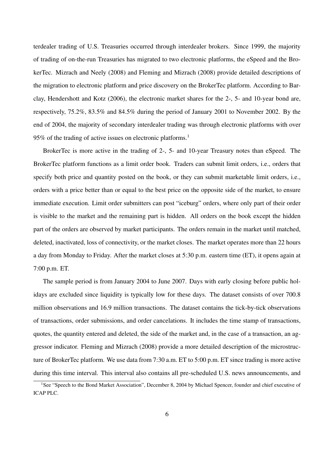terdealer trading of U.S. Treasuries occurred through interdealer brokers. Since 1999, the majority of trading of on-the-run Treasuries has migrated to two electronic platforms, the eSpeed and the BrokerTec. Mizrach and Neely (2008) and Fleming and Mizrach (2008) provide detailed descriptions of the migration to electronic platform and price discovery on the BrokerTec platform. According to Barclay, Hendershott and Kotz (2006), the electronic market shares for the 2-, 5- and 10-year bond are, respectively, 75.2%, 83.5% and 84.5% during the period of January 2001 to November 2002. By the end of 2004, the majority of secondary interdealer trading was through electronic platforms with over 95% of the trading of active issues on electronic platforms.<sup>1</sup>

BrokerTec is more active in the trading of 2-, 5- and 10-year Treasury notes than eSpeed. The BrokerTec platform functions as a limit order book. Traders can submit limit orders, i.e., orders that specify both price and quantity posted on the book, or they can submit marketable limit orders, i.e., orders with a price better than or equal to the best price on the opposite side of the market, to ensure immediate execution. Limit order submitters can post "iceburg" orders, where only part of their order is visible to the market and the remaining part is hidden. All orders on the book except the hidden part of the orders are observed by market participants. The orders remain in the market until matched, deleted, inactivated, loss of connectivity, or the market closes. The market operates more than 22 hours a day from Monday to Friday. After the market closes at 5:30 p.m. eastern time (ET), it opens again at 7:00 p.m. ET.

The sample period is from January 2004 to June 2007. Days with early closing before public holidays are excluded since liquidity is typically low for these days. The dataset consists of over 700.8 million observations and 16.9 million transactions. The dataset contains the tick-by-tick observations of transactions, order submissions, and order cancelations. It includes the time stamp of transactions, quotes, the quantity entered and deleted, the side of the market and, in the case of a transaction, an aggressor indicator. Fleming and Mizrach (2008) provide a more detailed description of the microstructure of BrokerTec platform. We use data from 7:30 a.m. ET to 5:00 p.m. ET since trading is more active during this time interval. This interval also contains all pre-scheduled U.S. news announcements, and

<sup>&</sup>lt;sup>1</sup>See "Speech to the Bond Market Association", December 8, 2004 by Michael Spencer, founder and chief executive of ICAP PLC.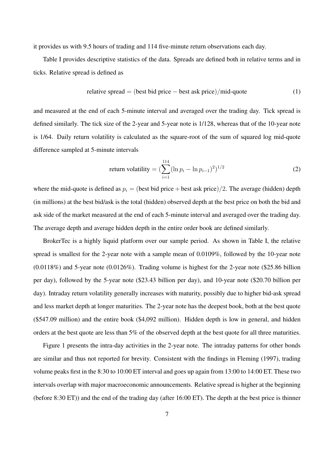it provides us with 9.5 hours of trading and 114 five-minute return observations each day.

Table I provides descriptive statistics of the data. Spreads are defined both in relative terms and in ticks. Relative spread is defined as

relative spread = (best bid price – best ask price)/mid-quote 
$$
(1)
$$

and measured at the end of each 5-minute interval and averaged over the trading day. Tick spread is defined similarly. The tick size of the 2-year and 5-year note is 1/128, whereas that of the 10-year note is 1/64. Daily return volatility is calculated as the square-root of the sum of squared log mid-quote difference sampled at 5-minute intervals

return volatility = 
$$
\left(\sum_{i=1}^{114} (\ln p_i - \ln p_{i-1})^2\right)^{1/2}
$$
 (2)

where the mid-quote is defined as  $p_i = (best bid price + best ask price)/2$ . The average (hidden) depth (in millions) at the best bid/ask is the total (hidden) observed depth at the best price on both the bid and ask side of the market measured at the end of each 5-minute interval and averaged over the trading day. The average depth and average hidden depth in the entire order book are defined similarly.

BrokerTec is a highly liquid platform over our sample period. As shown in Table I, the relative spread is smallest for the 2-year note with a sample mean of 0.0109%, followed by the 10-year note (0.0118%) and 5-year note (0.0126%). Trading volume is highest for the 2-year note (\$25.86 billion per day), followed by the 5-year note (\$23.43 billion per day), and 10-year note (\$20.70 billion per day). Intraday return volatility generally increases with maturity, possibly due to higher bid-ask spread and less market depth at longer maturities. The 2-year note has the deepest book, both at the best quote (\$547.09 million) and the entire book (\$4,092 million). Hidden depth is low in general, and hidden orders at the best quote are less than 5% of the observed depth at the best quote for all three maturities.

Figure 1 presents the intra-day activities in the 2-year note. The intraday patterns for other bonds are similar and thus not reported for brevity. Consistent with the findings in Fleming (1997), trading volume peaks first in the 8:30 to 10:00 ET interval and goes up again from 13:00 to 14:00 ET. These two intervals overlap with major macroeconomic announcements. Relative spread is higher at the beginning (before 8:30 ET)) and the end of the trading day (after 16:00 ET). The depth at the best price is thinner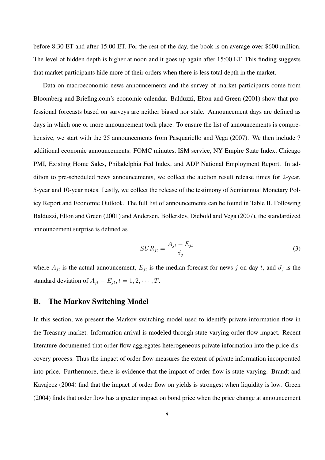before 8:30 ET and after 15:00 ET. For the rest of the day, the book is on average over \$600 million. The level of hidden depth is higher at noon and it goes up again after 15:00 ET. This finding suggests that market participants hide more of their orders when there is less total depth in the market.

Data on macroeconomic news announcements and the survey of market participants come from Bloomberg and Briefing.com's economic calendar. Balduzzi, Elton and Green (2001) show that professional forecasts based on surveys are neither biased nor stale. Announcement days are defined as days in which one or more announcement took place. To ensure the list of announcements is comprehensive, we start with the 25 announcements from Pasquariello and Vega (2007). We then include 7 additional economic announcements: FOMC minutes, ISM service, NY Empire State Index, Chicago PMI, Existing Home Sales, Philadelphia Fed Index, and ADP National Employment Report. In addition to pre-scheduled news announcements, we collect the auction result release times for 2-year, 5-year and 10-year notes. Lastly, we collect the release of the testimony of Semiannual Monetary Policy Report and Economic Outlook. The full list of announcements can be found in Table II. Following Balduzzi, Elton and Green (2001) and Andersen, Bollerslev, Diebold and Vega (2007), the standardized announcement surprise is defined as

$$
SUR_{jt} = \frac{A_{jt} - E_{jt}}{\hat{\sigma}_j} \tag{3}
$$

where  $A_{jt}$  is the actual announcement,  $E_{jt}$  is the median forecast for news *j* on day *t*, and  $\hat{\sigma}_j$  is the standard deviation of  $A_{jt} - E_{jt}$ ,  $t = 1, 2, \cdots, T$ .

#### B. The Markov Switching Model

In this section, we present the Markov switching model used to identify private information flow in the Treasury market. Information arrival is modeled through state-varying order flow impact. Recent literature documented that order flow aggregates heterogeneous private information into the price discovery process. Thus the impact of order flow measures the extent of private information incorporated into price. Furthermore, there is evidence that the impact of order flow is state-varying. Brandt and Kavajecz (2004) find that the impact of order flow on yields is strongest when liquidity is low. Green (2004) finds that order flow has a greater impact on bond price when the price change at announcement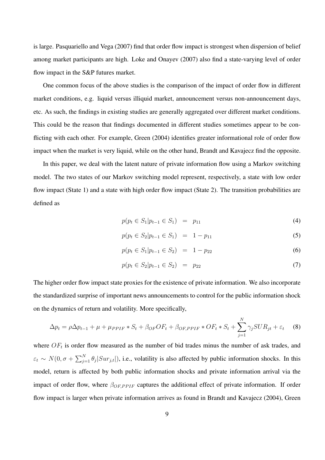is large. Pasquariello and Vega (2007) find that order flow impact is strongest when dispersion of belief among market participants are high. Loke and Onayev (2007) also find a state-varying level of order flow impact in the S&P futures market.

One common focus of the above studies is the comparison of the impact of order flow in different market conditions, e.g. liquid versus illiquid market, announcement versus non-announcement days, etc. As such, the findings in existing studies are generally aggregated over different market conditions. This could be the reason that findings documented in different studies sometimes appear to be conflicting with each other. For example, Green (2004) identifies greater informational role of order flow impact when the market is very liquid, while on the other hand, Brandt and Kavajecz find the opposite.

In this paper, we deal with the latent nature of private information flow using a Markov switching model. The two states of our Markov switching model represent, respectively, a state with low order flow impact (State 1) and a state with high order flow impact (State 2). The transition probabilities are defined as

$$
p(p_t \in S_1 | p_{t-1} \in S_1) = p_{11} \tag{4}
$$

$$
p(p_t \in S_2 | p_{t-1} \in S_1) = 1 - p_{11} \tag{5}
$$

$$
p(p_t \in S_1 | p_{t-1} \in S_2) = 1 - p_{22} \tag{6}
$$

$$
p(p_t \in S_2 | p_{t-1} \in S_2) = p_{22} \tag{7}
$$

The higher order flow impact state proxies for the existence of private information. We also incorporate the standardized surprise of important news announcements to control for the public information shock on the dynamics of return and volatility. More specifically,

$$
\Delta p_t = \rho \Delta p_{t-1} + \mu + \mu_{PPIF} * S_t + \beta_{OF} OF_t + \beta_{OF,PPIF} * OF_t * S_t + \sum_{j=1}^{N} \gamma_j SUR_{jt} + \varepsilon_t \tag{8}
$$

where  $OF<sub>t</sub>$  is order flow measured as the number of bid trades minus the number of ask trades, and  $\varepsilon_t \sim N(0, \sigma + \sum_{j=1}^N \theta_j |Sur_{j,t}|)$ , i.e., volatility is also affected by public information shocks. In this model, return is affected by both public information shocks and private information arrival via the impact of order flow, where  $β_{OF, PPIF}$  captures the additional effect of private information. If order flow impact is larger when private information arrives as found in Brandt and Kavajecz (2004), Green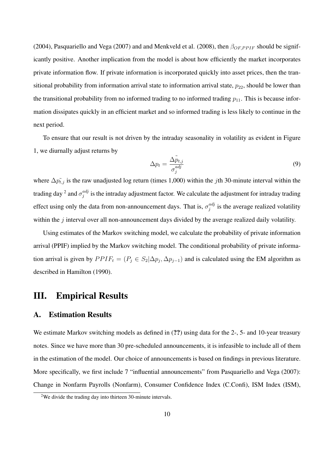(2004), Pasquariello and Vega (2007) and and Menkveld et al. (2008), then  $β_{OF, PPIF}$  should be significantly positive. Another implication from the model is about how efficiently the market incorporates private information flow. If private information is incorporated quickly into asset prices, then the transitional probability from information arrival state to information arrival state,  $p_{22}$ , should be lower than the transitional probability from no informed trading to no informed trading  $p_{11}$ . This is because information dissipates quickly in an efficient market and so informed trading is less likely to continue in the next period.

To ensure that our result is not driven by the intraday seasonality in volatility as evident in Figure 1, we diurnally adjust returns by

$$
\Delta p_t = \frac{\Delta \tilde{p}_{t,j}}{\sigma_j^{adj}}
$$
\n(9)

where  $\Delta p_{t,j}$  is the raw unadjusted log return (times 1,000) within the *j*th 30-minute interval within the trading day <sup>2</sup> and  $\sigma_i^{adj}$  $j$ <sup>*aaj*</sup> is the intraday adjustment factor. We calculate the adjustment for intraday trading effect using only the data from non-announcement days. That is,  $\sigma_i^{adj}$  $j_j^{adj}$  is the average realized volatility within the *j* interval over all non-announcement days divided by the average realized daily volatility.

Using estimates of the Markov switching model, we calculate the probability of private information arrival (PPIF) implied by the Markov switching model. The conditional probability of private information arrival is given by  $PPIF_t = (P_j \in S_2 | \Delta p_j, \Delta p_{j-1})$  and is calculated using the EM algorithm as described in Hamilton (1990).

## III. Empirical Results

#### A. Estimation Results

We estimate Markov switching models as defined in  $(?)$  using data for the 2-, 5- and 10-year treasury notes. Since we have more than 30 pre-scheduled announcements, it is infeasible to include all of them in the estimation of the model. Our choice of announcements is based on findings in previous literature. More specifically, we first include 7 "influential announcements" from Pasquariello and Vega (2007): Change in Nonfarm Payrolls (Nonfarm), Consumer Confidence Index (C.Confi), ISM Index (ISM),

<sup>&</sup>lt;sup>2</sup>We divide the trading day into thirteen 30-minute intervals.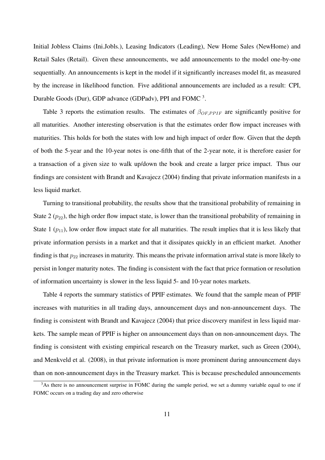Initial Jobless Claims (Ini.Jobls.), Leasing Indicators (Leading), New Home Sales (NewHome) and Retail Sales (Retail). Given these announcements, we add announcements to the model one-by-one sequentially. An announcements is kept in the model if it significantly increases model fit, as measured by the increase in likelihood function. Five additional announcements are included as a result: CPI, Durable Goods (Dur), GDP advance (GDPadv), PPI and FOMC<sup>3</sup>.

Table 3 reports the estimation results. The estimates of *β*<sub>*OF,PPIF* are significantly positive for</sub> all maturities. Another interesting observation is that the estimates order flow impact increases with maturities. This holds for both the states with low and high impact of order flow. Given that the depth of both the 5-year and the 10-year notes is one-fifth that of the 2-year note, it is therefore easier for a transaction of a given size to walk up/down the book and create a larger price impact. Thus our findings are consistent with Brandt and Kavajecz (2004) finding that private information manifests in a less liquid market.

Turning to transitional probability, the results show that the transitional probability of remaining in State 2  $(p_{22})$ , the high order flow impact state, is lower than the transitional probability of remaining in State 1  $(p_{11})$ , low order flow impact state for all maturities. The result implies that it is less likely that private information persists in a market and that it dissipates quickly in an efficient market. Another finding is that  $p_{22}$  increases in maturity. This means the private information arrival state is more likely to persist in longer maturity notes. The finding is consistent with the fact that price formation or resolution of information uncertainty is slower in the less liquid 5- and 10-year notes markets.

Table 4 reports the summary statistics of PPIF estimates. We found that the sample mean of PPIF increases with maturities in all trading days, announcement days and non-announcement days. The finding is consistent with Brandt and Kavajecz (2004) that price discovery manifest in less liquid markets. The sample mean of PPIF is higher on announcement days than on non-announcement days. The finding is consistent with existing empirical research on the Treasury market, such as Green (2004), and Menkveld et al. (2008), in that private information is more prominent during announcement days than on non-announcement days in the Treasury market. This is because prescheduled announcements

<sup>&</sup>lt;sup>3</sup>As there is no announcement surprise in FOMC during the sample period, we set a dummy variable equal to one if FOMC occurs on a trading day and zero otherwise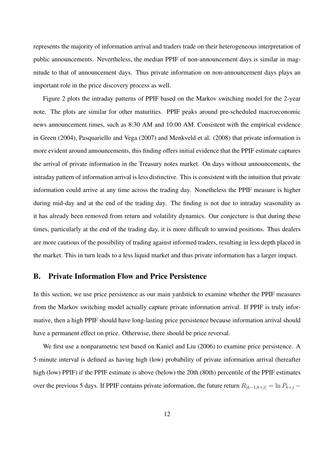represents the majority of information arrival and traders trade on their heterogeneous interpretation of public announcements. Nevertheless, the median PPIF of non-announcement days is similar in magnitude to that of announcement days. Thus private information on non-announcement days plays an important role in the price discovery process as well.

Figure 2 plots the intraday patterns of PPIF based on the Markov switching model for the 2-year note. The plots are similar for other maturities. PPIF peaks around pre-scheduled macroeconomic news announcement times, such as 8:30 AM and 10:00 AM. Consistent with the empirical evidence in Green (2004), Pasquariello and Vega (2007) and Menkveld et al. (2008) that private information is more evident around announcements, this finding offers initial evidence that the PPIF estimate captures the arrival of private information in the Treasury notes market. On days without announcements, the intraday pattern of information arrival is less distinctive. This is consistent with the intuition that private information could arrive at any time across the trading day. Nonetheless the PPIF measure is higher during mid-day and at the end of the trading day. The finding is not due to intraday seasonality as it has already been removed from return and volatility dynamics. Our conjecture is that during these times, particularly at the end of the trading day, it is more difficult to unwind positions. Thus dealers are more cautious of the possibility of trading against informed traders, resulting in less depth placed in the market. This in turn leads to a less liquid market and thus private information has a larger impact.

#### B. Private Information Flow and Price Persistence

In this section, we use price persistence as our main yardstick to examine whether the PPIF measures from the Markov switching model actually capture private information arrival. If PPIF is truly informative, then a high PPIF should have long-lasting price persistence because information arrival should have a permanent effect on price. Otherwise, there should be price reversal.

We first use a nonparametric test based on Kaniel and Liu (2006) to examine price persistence. A 5-minute interval is defined as having high (low) probability of private information arrival (hereafter high (low) PPIF) if the PPIF estimate is above (below) the 20th (80th) percentile of the PPIF estimates over the previous 5 days. If PPIF contains private information, the future return  $R_{[k-1,k+j]} = \ln P_{k+j} -$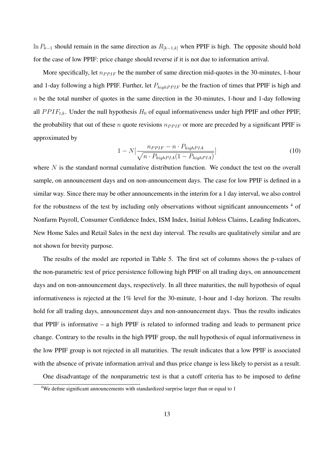ln *P<sup>k</sup>−*<sup>1</sup> should remain in the same direction as *R*[*k−*1*,k*] when PPIF is high. The opposite should hold for the case of low PPIF: price change should reverse if it is not due to information arrival.

More specifically, let  $n_{PPIF}$  be the number of same direction mid-quotes in the 30-minutes, 1-hour and 1-day following a high PPIF. Further, let  $P_{high PPIF}$  be the fraction of times that PPIF is high and *n* be the total number of quotes in the same direction in the 30-minutes, 1-hour and 1-day following all  $PPIF_{t,k}$ . Under the null hypothesis  $H_0$  of equal informativeness under high PPIF and other PPIF, the probability that out of these *n* quote revisions  $n_{PPIF}$  or more are preceded by a significant PPIF is approximated by

$$
1 - N\left[\frac{n_{PPIF} - n \cdot P_{highPIA}}{\sqrt{n \cdot P_{highPIA}(1 - P_{highPIA})}}\right]
$$
\n(10)

where *N* is the standard normal cumulative distribution function. We conduct the test on the overall sample, on announcement days and on non-announcement days. The case for low PPIF is defined in a similar way. Since there may be other announcements in the interim for a 1 day interval, we also control for the robustness of the test by including only observations without significant announcements  $4\sigma$ Nonfarm Payroll, Consumer Confidence Index, ISM Index, Initial Jobless Claims, Leading Indicators, New Home Sales and Retail Sales in the next day interval. The results are qualitatively similar and are not shown for brevity purpose.

The results of the model are reported in Table 5. The first set of columns shows the p-values of the non-parametric test of price persistence following high PPIF on all trading days, on announcement days and on non-announcement days, respectively. In all three maturities, the null hypothesis of equal informativeness is rejected at the 1% level for the 30-minute, 1-hour and 1-day horizon. The results hold for all trading days, announcement days and non-announcement days. Thus the results indicates that PPIF is informative – a high PPIF is related to informed trading and leads to permanent price change. Contrary to the results in the high PPIF group, the null hypothesis of equal informativeness in the low PPIF group is not rejected in all maturities. The result indicates that a low PPIF is associated with the absence of private information arrival and thus price change is less likely to persist as a result.

One disadvantage of the nonparametric test is that a cutoff criteria has to be imposed to define

<sup>&</sup>lt;sup>4</sup>We define significant announcements with standardized surprise larger than or equal to 1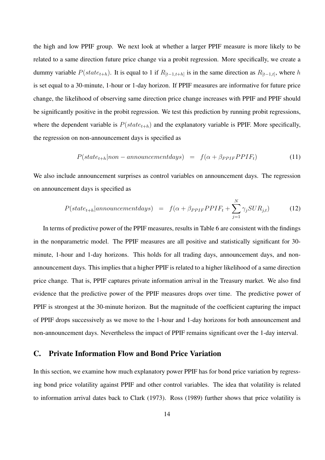the high and low PPIF group. We next look at whether a larger PPIF measure is more likely to be related to a same direction future price change via a probit regression. More specifically, we create a dummy variable  $P(state_{t+h})$ . It is equal to 1 if  $R_{[t-1,t+h]}$  is in the same direction as  $R_{[t-1,t]}$ , where *h* is set equal to a 30-minute, 1-hour or 1-day horizon. If PPIF measures are informative for future price change, the likelihood of observing same direction price change increases with PPIF and PPIF should be significantly positive in the probit regression. We test this prediction by running probit regressions, where the dependent variable is  $P(state_{t+h})$  and the explanatory variable is PPIF. More specifically, the regression on non-announcement days is specified as

$$
P(state_{t+h} | non-announcement days) = f(\alpha + \beta_{PPIF} PPIF_t)
$$
\n(11)

We also include announcement surprises as control variables on announcement days. The regression on announcement days is specified as

$$
P(state_{t+h} | announcement days) = f(\alpha + \beta_{PPIF} PPIF_t + \sum_{j=1}^{N} \gamma_j SUR_{j,t})
$$
 (12)

In terms of predictive power of the PPIF measures, results in Table 6 are consistent with the findings in the nonparametric model. The PPIF measures are all positive and statistically significant for 30 minute, 1-hour and 1-day horizons. This holds for all trading days, announcement days, and nonannouncement days. This implies that a higher PPIF is related to a higher likelihood of a same direction price change. That is, PPIF captures private information arrival in the Treasury market. We also find evidence that the predictive power of the PPIF measures drops over time. The predictive power of PPIF is strongest at the 30-minute horizon. But the magnitude of the coefficient capturing the impact of PPIF drops successively as we move to the 1-hour and 1-day horizons for both announcement and non-announcement days. Nevertheless the impact of PPIF remains significant over the 1-day interval.

#### C. Private Information Flow and Bond Price Variation

In this section, we examine how much explanatory power PPIF has for bond price variation by regressing bond price volatility against PPIF and other control variables. The idea that volatility is related to information arrival dates back to Clark (1973). Ross (1989) further shows that price volatility is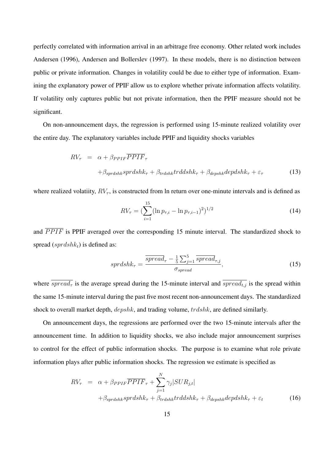perfectly correlated with information arrival in an arbitrage free economy. Other related work includes Andersen (1996), Andersen and Bollerslev (1997). In these models, there is no distinction between public or private information. Changes in volatility could be due to either type of information. Examining the explanatory power of PPIF allow us to explore whether private information affects volatility. If volatility only captures public but not private information, then the PPIF measure should not be significant.

On non-announcement days, the regression is performed using 15-minute realized volatility over the entire day. The explanatory variables include PPIF and liquidity shocks variables

$$
RV_{\tau} = \alpha + \beta_{PPIF} \overline{PPIF}_{\tau}
$$
  
+ $\beta_{sprdshk} sprdshk_{\tau} + \beta_{trdshk} trddsh k_{\tau} + \beta_{depshk} depdsh k_{\tau} + \varepsilon_{\tau}$  (13)

where realized volatiity,  $RV_{\tau}$ , is constructed from ln return over one-minute intervals and is defined as

$$
RV_{\tau} = \left(\sum_{i=1}^{15} (\ln p_{\tau,i} - \ln p_{\tau,i-1})^2\right)^{1/2}
$$
 (14)

and *PPIF* is PPIF averaged over the corresponding 15 minute interval. The standardized shock to spread (*sprdshkt*) is defined as:

$$
sprdshk_{\tau} = \frac{\overline{spread}_{\tau} - \frac{1}{5} \sum_{j=1}^{5} \overline{spread}_{\tau,j}}{\sigma_{spread}},
$$
\n(15)

where  $\overline{spread_{\tau}}$  is the average spread during the 15-minute interval and  $\overline{spread_{t,j}}$  is the spread within the same 15-minute interval during the past five most recent non-announcement days. The standardized shock to overall market depth, *depshk*, and trading volume, *trdshk*, are defined similarly.

On announcement days, the regressions are performed over the two 15-minute intervals after the announcement time. In addition to liquidity shocks, we also include major announcement surprises to control for the effect of public information shocks. The purpose is to examine what role private information plays after public information shocks. The regression we estimate is specified as

$$
RV_{\tau} = \alpha + \beta_{PPIF} \overline{PPIF}_{\tau} + \sum_{j=1}^{N} \gamma_{j} | SUR_{j,t}|
$$
  
+ $\beta_{sprdshk} sprdshk_{\tau} + \beta_{trdshk} trd dshk_{\tau} + \beta_{depshk} dep dshk_{\tau} + \varepsilon_{t}$  (16)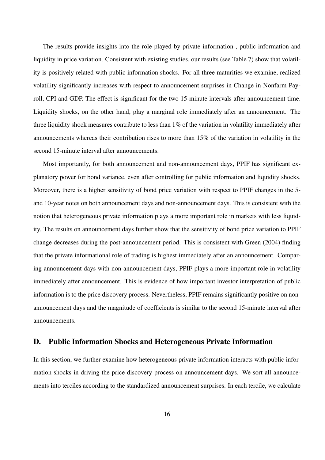The results provide insights into the role played by private information , public information and liquidity in price variation. Consistent with existing studies, our results (see Table 7) show that volatility is positively related with public information shocks. For all three maturities we examine, realized volatility significantly increases with respect to announcement surprises in Change in Nonfarm Payroll, CPI and GDP. The effect is significant for the two 15-minute intervals after announcement time. Liquidity shocks, on the other hand, play a marginal role immediately after an announcement. The three liquidity shock measures contribute to less than 1% of the variation in volatility immediately after announcements whereas their contribution rises to more than 15% of the variation in volatility in the second 15-minute interval after announcements.

Most importantly, for both announcement and non-announcement days, PPIF has significant explanatory power for bond variance, even after controlling for public information and liquidity shocks. Moreover, there is a higher sensitivity of bond price variation with respect to PPIF changes in the 5 and 10-year notes on both announcement days and non-announcement days. This is consistent with the notion that heterogeneous private information plays a more important role in markets with less liquidity. The results on announcement days further show that the sensitivity of bond price variation to PPIF change decreases during the post-announcement period. This is consistent with Green (2004) finding that the private informational role of trading is highest immediately after an announcement. Comparing announcement days with non-announcement days, PPIF plays a more important role in volatility immediately after announcement. This is evidence of how important investor interpretation of public information is to the price discovery process. Nevertheless, PPIF remains significantly positive on nonannouncement days and the magnitude of coefficients is similar to the second 15-minute interval after announcements.

#### D. Public Information Shocks and Heterogeneous Private Information

In this section, we further examine how heterogeneous private information interacts with public information shocks in driving the price discovery process on announcement days. We sort all announcements into terciles according to the standardized announcement surprises. In each tercile, we calculate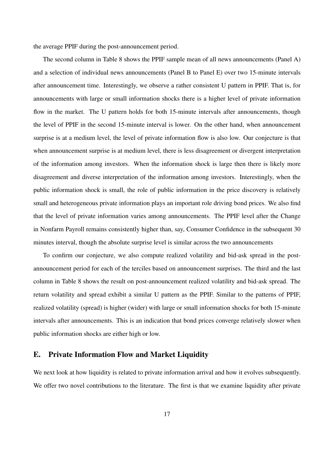the average PPIF during the post-announcement period.

The second column in Table 8 shows the PPIF sample mean of all news announcements (Panel A) and a selection of individual news announcements (Panel B to Panel E) over two 15-minute intervals after announcement time. Interestingly, we observe a rather consistent U pattern in PPIF. That is, for announcements with large or small information shocks there is a higher level of private information flow in the market. The U pattern holds for both 15-minute intervals after announcements, though the level of PPIF in the second 15-minute interval is lower. On the other hand, when announcement surprise is at a medium level, the level of private information flow is also low. Our conjecture is that when announcement surprise is at medium level, there is less disagreement or divergent interpretation of the information among investors. When the information shock is large then there is likely more disagreement and diverse interpretation of the information among investors. Interestingly, when the public information shock is small, the role of public information in the price discovery is relatively small and heterogeneous private information plays an important role driving bond prices. We also find that the level of private information varies among announcements. The PPIF level after the Change in Nonfarm Payroll remains consistently higher than, say, Consumer Confidence in the subsequent 30 minutes interval, though the absolute surprise level is similar across the two announcements

To confirm our conjecture, we also compute realized volatility and bid-ask spread in the postannouncement period for each of the terciles based on announcement surprises. The third and the last column in Table 8 shows the result on post-announcement realized volatility and bid-ask spread. The return volatility and spread exhibit a similar U pattern as the PPIF. Similar to the patterns of PPIF, realized volatility (spread) is higher (wider) with large or small information shocks for both 15-minute intervals after announcements. This is an indication that bond prices converge relatively slower when public information shocks are either high or low.

#### E. Private Information Flow and Market Liquidity

We next look at how liquidity is related to private information arrival and how it evolves subsequently. We offer two novel contributions to the literature. The first is that we examine liquidity after private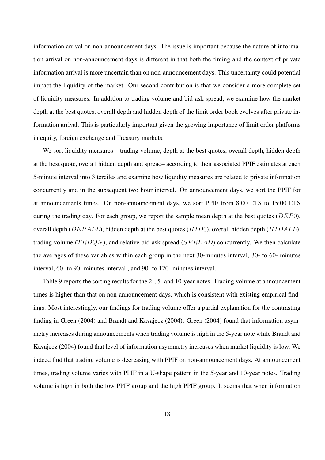information arrival on non-announcement days. The issue is important because the nature of information arrival on non-announcement days is different in that both the timing and the context of private information arrival is more uncertain than on non-announcement days. This uncertainty could potential impact the liquidity of the market. Our second contribution is that we consider a more complete set of liquidity measures. In addition to trading volume and bid-ask spread, we examine how the market depth at the best quotes, overall depth and hidden depth of the limit order book evolves after private information arrival. This is particularly important given the growing importance of limit order platforms in equity, foreign exchange and Treasury markets.

We sort liquidity measures – trading volume, depth at the best quotes, overall depth, hidden depth at the best quote, overall hidden depth and spread– according to their associated PPIF estimates at each 5-minute interval into 3 terciles and examine how liquidity measures are related to private information concurrently and in the subsequent two hour interval. On announcement days, we sort the PPIF for at announcements times. On non-announcement days, we sort PPIF from 8:00 ETS to 15:00 ETS during the trading day. For each group, we report the sample mean depth at the best quotes (*DEP*0), overall depth (*DEP ALL*), hidden depth at the best quotes (*HID*0), overall hidden depth (*HIDALL*), trading volume (*T RDQN*), and relative bid-ask spread (*SP READ*) concurrently. We then calculate the averages of these variables within each group in the next 30-minutes interval, 30- to 60- minutes interval, 60- to 90- minutes interval , and 90- to 120- minutes interval.

Table 9 reports the sorting results for the 2-, 5- and 10-year notes. Trading volume at announcement times is higher than that on non-announcement days, which is consistent with existing empirical findings. Most interestingly, our findings for trading volume offer a partial explanation for the contrasting finding in Green (2004) and Brandt and Kavajecz (2004): Green (2004) found that information asymmetry increases during announcements when trading volume is high in the 5-year note while Brandt and Kavajecz (2004) found that level of information asymmetry increases when market liquidity is low. We indeed find that trading volume is decreasing with PPIF on non-announcement days. At announcement times, trading volume varies with PPIF in a U-shape pattern in the 5-year and 10-year notes. Trading volume is high in both the low PPIF group and the high PPIF group. It seems that when information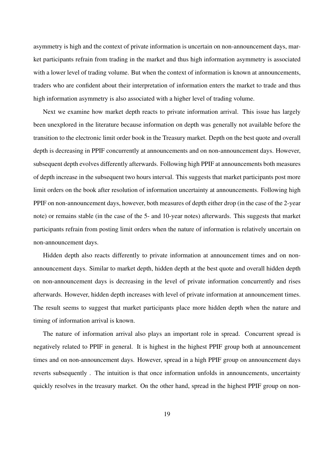asymmetry is high and the context of private information is uncertain on non-announcement days, market participants refrain from trading in the market and thus high information asymmetry is associated with a lower level of trading volume. But when the context of information is known at announcements, traders who are confident about their interpretation of information enters the market to trade and thus high information asymmetry is also associated with a higher level of trading volume.

Next we examine how market depth reacts to private information arrival. This issue has largely been unexplored in the literature because information on depth was generally not available before the transition to the electronic limit order book in the Treasury market. Depth on the best quote and overall depth is decreasing in PPIF concurrently at announcements and on non-announcement days. However, subsequent depth evolves differently afterwards. Following high PPIF at announcements both measures of depth increase in the subsequent two hours interval. This suggests that market participants post more limit orders on the book after resolution of information uncertainty at announcements. Following high PPIF on non-announcement days, however, both measures of depth either drop (in the case of the 2-year note) or remains stable (in the case of the 5- and 10-year notes) afterwards. This suggests that market participants refrain from posting limit orders when the nature of information is relatively uncertain on non-announcement days.

Hidden depth also reacts differently to private information at announcement times and on nonannouncement days. Similar to market depth, hidden depth at the best quote and overall hidden depth on non-announcement days is decreasing in the level of private information concurrently and rises afterwards. However, hidden depth increases with level of private information at announcement times. The result seems to suggest that market participants place more hidden depth when the nature and timing of information arrival is known.

The nature of information arrival also plays an important role in spread. Concurrent spread is negatively related to PPIF in general. It is highest in the highest PPIF group both at announcement times and on non-announcement days. However, spread in a high PPIF group on announcement days reverts subsequently . The intuition is that once information unfolds in announcements, uncertainty quickly resolves in the treasury market. On the other hand, spread in the highest PPIF group on non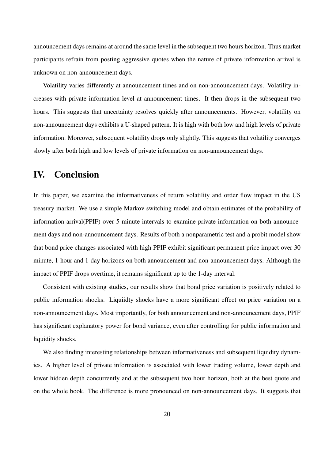announcement days remains at around the same level in the subsequent two hours horizon. Thus market participants refrain from posting aggressive quotes when the nature of private information arrival is unknown on non-announcement days.

Volatility varies differently at announcement times and on non-announcement days. Volatility increases with private information level at announcement times. It then drops in the subsequent two hours. This suggests that uncertainty resolves quickly after announcements. However, volatility on non-announcement days exhibits a U-shaped pattern. It is high with both low and high levels of private information. Moreover, subsequent volatility drops only slightly. This suggests that volatility converges slowly after both high and low levels of private information on non-announcement days.

## IV. Conclusion

In this paper, we examine the informativeness of return volatility and order flow impact in the US treasury market. We use a simple Markov switching model and obtain estimates of the probability of information arrival(PPIF) over 5-minute intervals to examine private information on both announcement days and non-announcement days. Results of both a nonparametric test and a probit model show that bond price changes associated with high PPIF exhibit significant permanent price impact over 30 minute, 1-hour and 1-day horizons on both announcement and non-announcement days. Although the impact of PPIF drops overtime, it remains significant up to the 1-day interval.

Consistent with existing studies, our results show that bond price variation is positively related to public information shocks. Liquiidty shocks have a more significant effect on price variation on a non-announcement days. Most importantly, for both announcement and non-announcement days, PPIF has significant explanatory power for bond variance, even after controlling for public information and liquidity shocks.

We also finding interesting relationships between informativeness and subsequent liquidity dynamics. A higher level of private information is associated with lower trading volume, lower depth and lower hidden depth concurrently and at the subsequent two hour horizon, both at the best quote and on the whole book. The difference is more pronounced on non-announcement days. It suggests that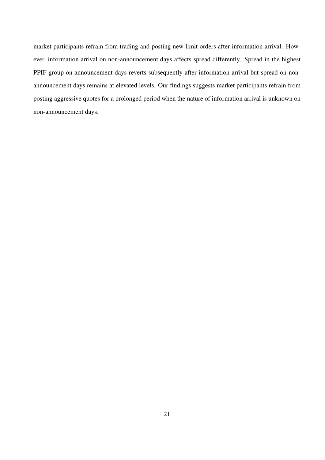market participants refrain from trading and posting new limit orders after information arrival. However, information arrival on non-announcement days affects spread differently. Spread in the highest PPIF group on announcement days reverts subsequently after information arrival but spread on nonannouncement days remains at elevated levels. Our findings suggests market participants refrain from posting aggressive quotes for a prolonged period when the nature of information arrival is unknown on non-announcement days.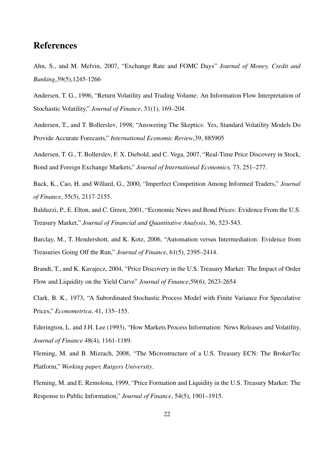## References

Ahn, S., and M. Melvin, 2007, "Exchange Rate and FOMC Days" *Journal of Money, Credit and Banking*,39(5),1245-1266

Andersen, T. G., 1996, "Return Volatility and Trading Volume: An Information Flow Interpretation of Stochastic Volatility," *Journal of Finance*, 51(1), 169–204.

Andersen, T., and T. Bollerslev, 1998, "Answering The Skeptics: Yes, Standard Volatility Models Do Provide Accurate Forecasts," *International Economic Review*,39, 885905

Andersen, T. G., T. Bollerslev, F. X. Diebold, and C. Vega, 2007, "Real-Time Price Discovery in Stock, Bond and Foreign Exchange Markets," *Journal of International Economics,* 73, 251–277.

Back, K., Cao, H. and Willard, G., 2000, "Imperfect Competition Among Informed Traders," *Journal of Finance*, 55(5), 2117-2155.

Balduzzi, P., E. Elton, and C. Green, 2001, "Economic News and Bond Prices: Evidence From the U.S. Treasury Market," *Journal of Financial and Quantitative Analysis*, 36, 523-543.

Barclay, M., T. Hendershott, and K. Kotz, 2006, "Automation versus Intermediation: Evidence from Treasuries Going Off the Run," *Journal of Finance*, 61(5), 2395–2414.

Brandt, T., and K. Kavajecz, 2004, "Price Discovery in the U.S. Treasury Market: The Impact of Order Flow and Liquidity on the Yield Curve" *Journal of Finance*,59(6), 2623-2654

Clark, B. K., 1973, "A Subordinated Stochastic Process Model with Finite Variance For Speculative Prices," *Econometrica*, 41, 135–155.

Ederington, L. and J.H. Lee (1993), "How Markets Process Information: News Releases and Volatility, *Journal of Finance* 48(4), 1161-1189.

Fleming, M. and B. Mizrach, 2008, "The Microstructure of a U.S. Treasury ECN: The BrokerTec Platform," *Working paper, Rutgers University*.

Fleming, M. and E. Remolona, 1999, "Price Formation and Liquidity in the U.S. Treasury Market: The Response to Public Information," *Journal of Finance*, 54(5), 1901–1915.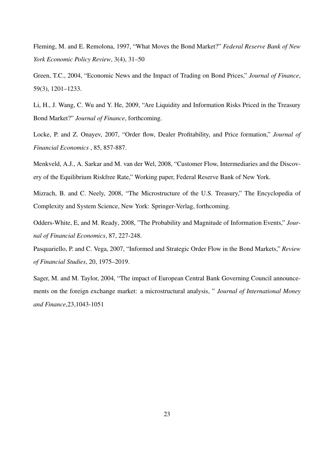Fleming, M. and E. Remolona, 1997, "What Moves the Bond Market?" *Federal Reserve Bank of New York Economic Policy Review*, 3(4), 31–50

Green, T.C., 2004, "Economic News and the Impact of Trading on Bond Prices," *Journal of Finance*, 59(3), 1201–1233.

Li, H., J. Wang, C. Wu and Y. He, 2009, "Are Liquidity and Information Risks Priced in the Treasury Bond Market?" *Journal of Finance*, forthcoming.

Locke, P. and Z. Onayev, 2007, "Order flow, Dealer Profitability, and Price formation," *Journal of Financial Economics* , 85, 857-887.

Menkveld, A.J., A. Sarkar and M. van der Wel, 2008, "Customer Flow, Intermediaries and the Discovery of the Equilibrium Riskfree Rate," Working paper, Federal Reserve Bank of New York.

Mizrach, B. and C. Neely, 2008, "The Microstructure of the U.S. Treasury," The Encyclopedia of Complexity and System Science, New York: Springer-Verlag, forthcoming.

Odders-White, E, and M. Ready, 2008, "The Probability and Magnitude of Information Events," *Journal of Financial Economics*, 87, 227-248.

Pasquariello, P. and C. Vega, 2007, "Informed and Strategic Order Flow in the Bond Markets," *Review of Financial Studies*, 20, 1975–2019.

Sager, M. and M. Taylor, 2004, "The impact of European Central Bank Governing Council announcements on the foreign exchange market: a microstructural analysis, " *Journal of International Money and Finance*,23,1043-1051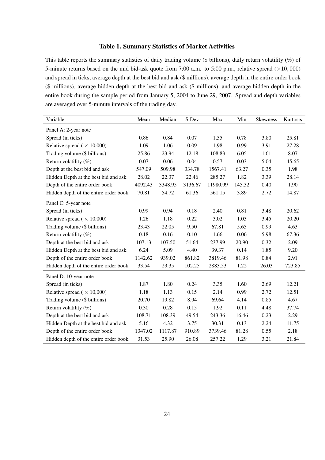#### Table 1. Summary Statistics of Market Activities

This table reports the summary statistics of daily trading volume (\$ billions), daily return volatility (%) of 5-minute returns based on the mid bid-ask quote from 7:00 a.m. to 5:00 p.m., relative spread (*×*10*,* 000) and spread in ticks, average depth at the best bid and ask (\$ millions), average depth in the entire order book (\$ millions), average hidden depth at the best bid and ask (\$ millions), and average hidden depth in the entire book during the sample period from January 5, 2004 to June 29, 2007. Spread and depth variables are averaged over 5-minute intervals of the trading day.

| Variable                              | Mean    | Median  | <b>StDev</b> | Max      | Min    | <b>Skewness</b> | Kurtosis |
|---------------------------------------|---------|---------|--------------|----------|--------|-----------------|----------|
| Panel A: 2-year note                  |         |         |              |          |        |                 |          |
| Spread (in ticks)                     | 0.86    | 0.84    | 0.07         | 1.55     | 0.78   | 3.80            | 25.81    |
| Relative spread ( $\times$ 10,000)    | 1.09    | 1.06    | 0.09         | 1.98     | 0.99   | 3.91            | 27.28    |
| Trading volume (\$ billions)          | 25.86   | 23.94   | 12.18        | 108.83   | 6.05   | 1.61            | 8.07     |
| Return volatility $(\%)$              | 0.07    | 0.06    | 0.04         | 0.57     | 0.03   | 5.04            | 45.65    |
| Depth at the best bid and ask         | 547.09  | 509.98  | 334.78       | 1567.41  | 63.27  | 0.35            | 1.98     |
| Hidden Depth at the best bid and ask  | 28.02   | 22.37   | 22.46        | 285.27   | 1.82   | 3.39            | 28.14    |
| Depth of the entire order book        | 4092.43 | 3348.95 | 3136.67      | 11980.99 | 145.32 | 0.40            | 1.90     |
| Hidden depth of the entire order book | 70.81   | 54.72   | 61.36        | 561.15   | 3.89   | 2.72            | 14.87    |
| Panel C: 5-year note                  |         |         |              |          |        |                 |          |
| Spread (in ticks)                     | 0.99    | 0.94    | 0.18         | 2.40     | 0.81   | 3.48            | 20.62    |
| Relative spread ( $\times$ 10,000)    | 1.26    | 1.18    | 0.22         | 3.02     | 1.03   | 3.45            | 20.20    |
| Trading volume (\$ billions)          | 23.43   | 22.05   | 9.50         | 67.81    | 5.65   | 0.99            | 4.63     |
| Return volatility $(\%)$              | 0.18    | 0.16    | 0.10         | 1.66     | 0.06   | 5.98            | 67.36    |
| Depth at the best bid and ask         | 107.13  | 107.50  | 51.64        | 237.99   | 20.90  | 0.32            | 2.09     |
| Hidden Depth at the best bid and ask  | 6.24    | 5.09    | 4.40         | 39.37    | 0.14   | 1.85            | 9.20     |
| Depth of the entire order book        | 1142.62 | 939.02  | 861.82       | 3819.46  | 81.98  | 0.84            | 2.91     |
| Hidden depth of the entire order book | 33.54   | 23.35   | 102.25       | 2883.53  | 1.22   | 26.03           | 723.85   |
| Panel D: 10-year note                 |         |         |              |          |        |                 |          |
| Spread (in ticks)                     | 1.87    | 1.80    | 0.24         | 3.35     | 1.60   | 2.69            | 12.21    |
| Relative spread ( $\times$ 10,000)    | 1.18    | 1.13    | 0.15         | 2.14     | 0.99   | 2.72            | 12.51    |
| Trading volume (\$ billions)          | 20.70   | 19.82   | 8.94         | 69.64    | 4.14   | 0.85            | 4.67     |
| Return volatility $(\%)$              | 0.30    | 0.28    | 0.15         | 1.92     | 0.11   | 4.48            | 37.74    |
| Depth at the best bid and ask         | 108.71  | 108.39  | 49.54        | 243.36   | 16.46  | 0.23            | 2.29     |
| Hidden Depth at the best bid and ask  | 5.16    | 4.32    | 3.75         | 30.31    | 0.13   | 2.24            | 11.75    |
| Depth of the entire order book        | 1347.02 | 1117.87 | 910.89       | 3739.46  | 81.28  | 0.55            | 2.18     |
| Hidden depth of the entire order book | 31.53   | 25.90   | 26.08        | 257.22   | 1.29   | 3.21            | 21.84    |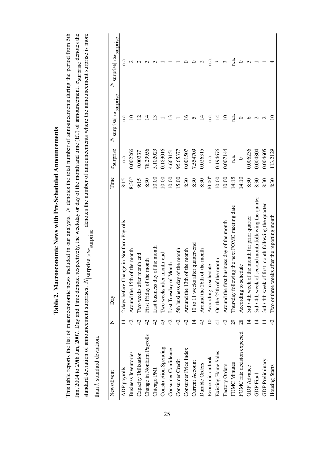| <b>CHARGERS CARRIER AT THE TOWN TO BE A REAL PROPERTY.</b> |
|------------------------------------------------------------|
|                                                            |
|                                                            |
|                                                            |
| .<br>ו                                                     |
|                                                            |
|                                                            |
|                                                            |
| Anonoonono Nove with Pro-                                  |
|                                                            |
|                                                            |
|                                                            |
|                                                            |
|                                                            |
|                                                            |
|                                                            |
|                                                            |
|                                                            |
| ו<br>ו<br>:                                                |
| ֧ׅ֧֧֧֚֚֚֚֚֚֚֚֚֚֚֚֚֚֚֚֚֚֚֚֚֚֚֚֬֡֡֡֘֜֓֡֜֝֓                   |
|                                                            |
| $\frac{1}{2}$                                              |

This table reports the list of macroeconomic news included in our analysis. N denotes the total number of announcements during the period from 5th Jan, 2004 to 29th Jun, 2007. Day and Time denote, respectively, the weekday or day of the month and time (ET) of announcement.  $\sigma$ <sub>surprise</sub> denotes the standard deviation of announcement surprises.  $N_{\text{[surprise]}>k\sigma_{\text{surprise}}}$  denotes the number of announcements where the announcement surprise is more This table reports the list of macroeconomic news included in our analysis. *N* denotes the total number of announcements during the period from 5th Jan, 2004 to 29th Jun, 2007. Day and Time denote, respectively, the weekday or day of the month and time (ET) of announcement. *σ*surprise denotes the standard deviation of announcement surprises. *N*<sup>|</sup>|surprise|>k<sub>σ</sub>surprise<br>. tha

| J<br>$\ddot{+}$<br>d okla |
|---------------------------|
|                           |
|                           |
| standard                  |
| 2                         |
| ċ                         |

| News/Event                  | Z              | Day                                                     | Time        | $\sigma$ surprise | $N_{\rm [surprise] > \sigma_{\rm{surprise}}}$ | $N_{ \small\textrm{surprise} >2\sigma_{\small\textrm{surprise}}}$ |
|-----------------------------|----------------|---------------------------------------------------------|-------------|-------------------|-----------------------------------------------|-------------------------------------------------------------------|
| ADP payrolls                | $\vec{4}$      | 2 days before Change in Nonfarm Payrolls                | 8:15        | n.a.              | n.a.                                          | n.a.                                                              |
| <b>Business Inventories</b> | $\frac{1}{4}$  | Around the 15th of the month                            | $8:30^a$    | 0.002266          |                                               |                                                                   |
| Capacity Utilization        | $\frac{1}{4}$  | Two weeks after month end                               | 9:15        | 0.00337           | $\overline{\mathcal{C}}$                      |                                                                   |
| Change in Nonfarm Payrolls  | $\overline{4}$ | First Friday of the month                               | 8:30        | 78.29956          | 4                                             |                                                                   |
| Chicago PMI                 | 42             | Last business day of the month                          | 10:00       | 5.102023          | نى                                            |                                                                   |
| Construction Spending       |                | month-end<br>Two weeks after                            | 10:00       | 0.183016          |                                               |                                                                   |
| Consumer Confidence         |                | Last Tuesday of Month                                   | $10:00$     | 4.663151          |                                               |                                                                   |
| Consumer Credit             | $\overline{4}$ | of the month<br>5th business day                        | 15:00       | 95.65377          |                                               |                                                                   |
| Consumer Price Index        |                | Around the 13th of the month                            | 8:30        | 0.001507          |                                               |                                                                   |
| Current Account             |                | 10 to 11 weeks after quarter-end                        | 8:30        | 7.554709          |                                               |                                                                   |
| Durable Orders              |                | Around the 26th of the month                            | 8:30        | 0.026315          | ᠴ                                             |                                                                   |
| Economic outlook            |                | According to schedule                                   | $10:00^{b}$ | n.a.              | a.<br>¤                                       | $\ddot{a}$                                                        |
| Existing Home Sales         |                | On the 25th of the month                                | $10:00$     | 0.194676          | 그                                             | ξ                                                                 |
| Factory Orders              |                | Around the first business day of the month              | $10:00$     | 0.007144          |                                               | 3                                                                 |
| FOMC Minutes                | $\overline{c}$ | Thursday following the next FOMC meeting date           | 14:15       | n.a.              | a.<br>E                                       | n.a.                                                              |
| FOMC rate decision expected | 28             | According to schedule                                   | 14:10       | $\circ$           |                                               |                                                                   |
| <b>GDP</b> Advance          |                | 3rd / 4th week of the month for prior quarter           | 8:30        | 0.006236          |                                               |                                                                   |
| <b>GDP</b> Final            |                | second month following the quarter<br>3rd / 4th week of | 8:30        | 0.004804          |                                               |                                                                   |
| GDP Preliminary             | 4              | first month following the quarter<br>3rd / 4th week of  | 8:30        | 0.004605          |                                               |                                                                   |
| Housing Starts              | $\frac{1}{4}$  | Two or three weeks after the reporting month            | 8:30        | 13.2129           |                                               |                                                                   |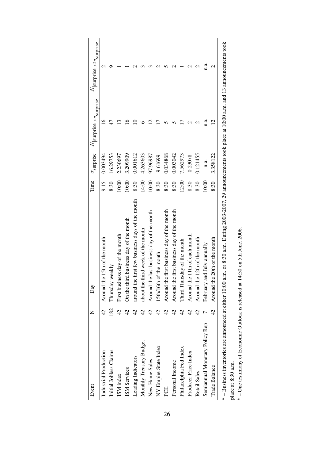| Event                          | Z              | Day                                                                                                                                                                   |       |          | Time $\sigma$ surprise $N$ surprise $\vert > \sigma$ surprise | $\label{eq:1} N_{\mathrm{[surprise]}>2\sigma_{\mathrm{surprise}}}$ |
|--------------------------------|----------------|-----------------------------------------------------------------------------------------------------------------------------------------------------------------------|-------|----------|---------------------------------------------------------------|--------------------------------------------------------------------|
| Industrial Production          | $\overline{4}$ | Around the 15th of the month                                                                                                                                          | 9:15  | 0.003494 | $\leq$                                                        |                                                                    |
| Initial Jobless Claims         | 182            | Thursday weekly                                                                                                                                                       | 8:30  | 16.29753 | 47                                                            |                                                                    |
| ISM index                      | $\overline{4}$ | First business day of the month                                                                                                                                       | 10:00 | 2.230697 |                                                               |                                                                    |
| ISM Services                   | $\frac{1}{4}$  | On the third business day of the month                                                                                                                                | 10:00 | 3.209909 |                                                               |                                                                    |
| Leading Indicators             | $\overline{4}$ | around the first few business days of the month                                                                                                                       | 8:30  | 0.001612 |                                                               |                                                                    |
| Monthly Treasury Budget        | $\frac{4}{2}$  | about the third week of the month                                                                                                                                     | 14:00 | 4.263603 |                                                               |                                                                    |
| New Home Sales                 | $\frac{4}{2}$  | Around the last business day of the month                                                                                                                             | 10:00 | 97.96987 |                                                               |                                                                    |
| NY Empire State Index          | $\overline{4}$ | 15th/16th of the month                                                                                                                                                | 8:30  | 9.61699  |                                                               |                                                                    |
| PCE                            | $\overline{4}$ | Around the first business day of the month                                                                                                                            | 8:30  | 0.034868 |                                                               |                                                                    |
| Personal Income                | $\overline{4}$ | Around the first business day of the month                                                                                                                            | 8:30  | 0.003042 |                                                               |                                                                    |
| Philadelphia Fed Index         | $\frac{1}{4}$  | Third Thursday of the month                                                                                                                                           | 12:00 | 7.562973 |                                                               |                                                                    |
| Producer Price Index           | $\frac{1}{4}$  | Around the 11th of each month                                                                                                                                         | 8:30  | 0.23078  |                                                               |                                                                    |
| Retail Sales                   | $\overline{4}$ | Around the 12th of the month                                                                                                                                          | 8:30  | 0.121455 |                                                               |                                                                    |
| Semiannual Monetary Policy Rep |                | February and July annually                                                                                                                                            | 10:00 | n.a.     | n.a.                                                          | n.a.                                                               |
| Trade Balance                  | 4<br>4         | Around the 20th of the month                                                                                                                                          | 8:30  | 3.358122 | $\overline{\mathcal{C}}$                                      | $\mathcal{C}$                                                      |
|                                |                | $\alpha$ – Business inventories are announced at either 10:00 a.m. or 8:30 a.m. During 2003-2007, 29 announcements took place at 10:00 a.m. and 13 announcements took |       |          |                                                               |                                                                    |

| 5.0000000000000                                                                                                                                                                                                                                                                       |  |
|---------------------------------------------------------------------------------------------------------------------------------------------------------------------------------------------------------------------------------------------------------------------------------------|--|
| represented to place of HHH a report of 12 approved<br>where the same that the process of the control and the same of the control of the control of the control of the control of the control of the control of the control of the control of the control of the control of the contr |  |
| with Diploman Hamp Hoor チンフリー ヘルプレット<br>$0.002202$ m or $8.30220$ m During 2002 2007 200                                                                                                                                                                                              |  |
| J<br>≳                                                                                                                                                                                                                                                                                |  |
| I                                                                                                                                                                                                                                                                                     |  |

place at 8:30 a.m.<br> $b$  – One testimony of Economic Outlook is released at 14:30 on 5th June, 2006.  $\degree$  – One testimony of Economic Outlook is released at 14:30 on 5th June, 2006.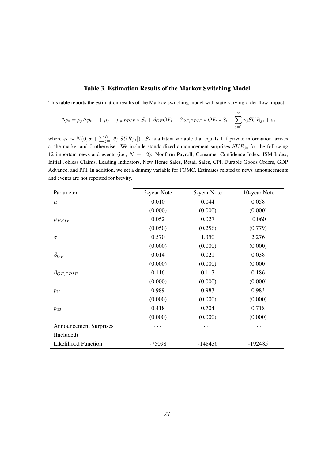#### Table 3. Estimation Results of the Markov Switching Model

This table reports the estimation results of the Markov switching model with state-varying order flow impact

$$
\Delta p_t = \rho_p \Delta p_{t-1} + \mu_p + \mu_{p,PPIF} * S_t + \beta_{OF} OF_t + \beta_{OF,PPIF} * OF_t * S_t + \sum_{j=1}^N \gamma_j SUR_{jt} + \varepsilon_t
$$

where  $\varepsilon_t \sim N(0, \sigma + \sum_{j=1}^N \theta_j | SUR_{j,t} |)$ ,  $S_t$  is a latent variable that equals 1 if private information arrives at the market and 0 otherwise. We include standardized announcement surprises *SURjt* for the following 12 important news and events (i.e., *N* = 12): Nonfarm Payroll, Consumer Confidence Index, ISM Index, Initial Jobless Claims, Leading Indicators, New Home Sales, Retail Sales, CPI, Durable Goods Orders, GDP Advance, and PPI. In addition, we set a dummy variable for FOMC. Estimates related to news announcements and events are not reported for brevity.

| Parameter                     | 2-year Note | 5-year Note | 10-year Note |
|-------------------------------|-------------|-------------|--------------|
| $\mu$                         | 0.010       | 0.044       | 0.058        |
|                               | (0.000)     | (0.000)     | (0.000)      |
| $\mu_{PPIF}$                  | 0.052       | 0.027       | $-0.060$     |
|                               | (0.050)     | (0.256)     | (0.779)      |
| $\sigma$                      | 0.570       | 1.350       | 2.276        |
|                               | (0.000)     | (0.000)     | (0.000)      |
| $\beta_{OF}$                  | 0.014       | 0.021       | 0.038        |
|                               | (0.000)     | (0.000)     | (0.000)      |
| $\beta_{OF,PPIF}$             | 0.116       | 0.117       | 0.186        |
|                               | (0.000)     | (0.000)     | (0.000)      |
| $p_{11}$                      | 0.989       | 0.983       | 0.983        |
|                               | (0.000)     | (0.000)     | (0.000)      |
| $p_{22}$                      | 0.418       | 0.704       | 0.718        |
|                               | (0.000)     | (0.000)     | (0.000)      |
| <b>Announcement Surprises</b> | $\cdots$    | .           | .            |
| (Included)                    |             |             |              |
| <b>Likelihood Function</b>    | -75098      | $-148436$   | -192485      |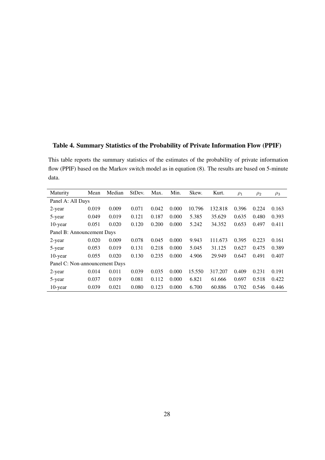#### Table 4. Summary Statistics of the Probability of Private Information Flow (PPIF)

This table reports the summary statistics of the estimates of the probability of private information flow (PPIF) based on the Markov switch model as in equation (8). The results are based on 5-minute data.

| Maturity                       | Mean  | Median | StDev. | Max.  | Min.  | Skew.  | Kurt.   | $\rho_1$ | $\rho_2$ | $\rho_3$ |
|--------------------------------|-------|--------|--------|-------|-------|--------|---------|----------|----------|----------|
| Panel A: All Days              |       |        |        |       |       |        |         |          |          |          |
| 2-year                         | 0.019 | 0.009  | 0.071  | 0.042 | 0.000 | 10.796 | 132.818 | 0.396    | 0.224    | 0.163    |
| 5-year                         | 0.049 | 0.019  | 0.121  | 0.187 | 0.000 | 5.385  | 35.629  | 0.635    | 0.480    | 0.393    |
| 10-year                        | 0.051 | 0.020  | 0.120  | 0.200 | 0.000 | 5.242  | 34.352  | 0.653    | 0.497    | 0.411    |
| Panel B: Announcement Days     |       |        |        |       |       |        |         |          |          |          |
| 2-year                         | 0.020 | 0.009  | 0.078  | 0.045 | 0.000 | 9.943  | 111.673 | 0.395    | 0.223    | 0.161    |
| 5-year                         | 0.053 | 0.019  | 0.131  | 0.218 | 0.000 | 5.045  | 31.125  | 0.627    | 0.475    | 0.389    |
| $10$ -year                     | 0.055 | 0.020  | 0.130  | 0.235 | 0.000 | 4.906  | 29.949  | 0.647    | 0.491    | 0.407    |
| Panel C: Non-announcement Days |       |        |        |       |       |        |         |          |          |          |
| 2-year                         | 0.014 | 0.011  | 0.039  | 0.035 | 0.000 | 15.550 | 317.207 | 0.409    | 0.231    | 0.191    |
| 5-year                         | 0.037 | 0.019  | 0.081  | 0.112 | 0.000 | 6.821  | 61.666  | 0.697    | 0.518    | 0.422    |
| 10-year                        | 0.039 | 0.021  | 0.080  | 0.123 | 0.000 | 6.700  | 60.886  | 0.702    | 0.546    | 0.446    |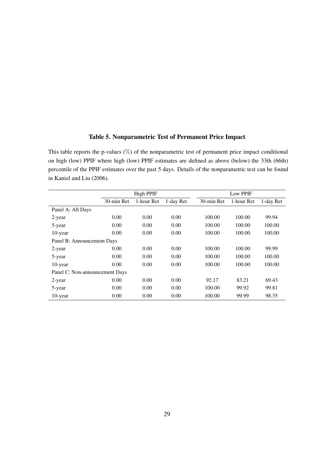#### Table 5. Nonparametric Test of Permanent Price Impact

This table reports the p-values (%) of the nonparametric test of permanent price impact conditional on high (low) PPIF where high (low) PPIF estimates are defined as above (below) the 33th (66th) percentile of the PPIF estimates over the past 5 days. Details of the nonparametric test can be found in Kaniel and Liu (2006).

|                                |            | <b>High PPIF</b> |           |            | Low PPIF   |           |
|--------------------------------|------------|------------------|-----------|------------|------------|-----------|
|                                | 30-min Ret | 1-hour Ret       | 1-day Ret | 30-min Ret | 1-hour Ret | 1-day Ret |
| Panel A: All Days              |            |                  |           |            |            |           |
| 2-year                         | 0.00       | 0.00             | 0.00      | 100.00     | 100.00     | 99.94     |
| 5-year                         | 0.00       | 0.00             | 0.00      | 100.00     | 100.00     | 100.00    |
| $10$ -year                     | 0.00       | 0.00             | 0.00      | 100.00     | 100.00     | 100.00    |
| Panel B: Announcement Days     |            |                  |           |            |            |           |
| 2-year                         | 0.00       | 0.00             | 0.00      | 100.00     | 100.00     | 99.99     |
| 5-year                         | 0.00       | 0.00             | 0.00      | 100.00     | 100.00     | 100.00    |
| $10$ -year                     | 0.00       | 0.00             | 0.00      | 100.00     | 100.00     | 100.00    |
| Panel C: Non-announcement Days |            |                  |           |            |            |           |
| 2-year                         | 0.00       | 0.00             | 0.00      | 92.17      | 83.21      | 69.43     |
| 5-year                         | 0.00       | 0.00             | 0.00      | 100.00     | 99.92      | 99.81     |
| 10-year                        | 0.00       | 0.00             | 0.00      | 100.00     | 99.99      | 98.35     |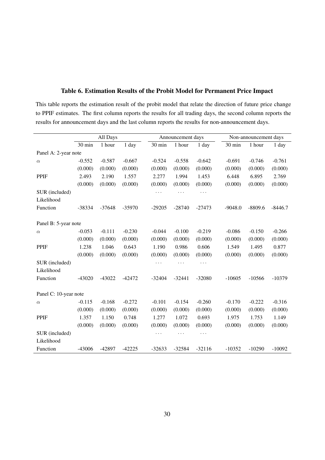|                       |          | All Days |          |          | Announcement days |          |           | Non-announcement days |           |
|-----------------------|----------|----------|----------|----------|-------------------|----------|-----------|-----------------------|-----------|
|                       | 30 min   | 1 hour   | $1$ day  | 30 min   | 1 hour            | 1 day    | 30 min    | 1 hour                | 1 day     |
| Panel A: 2-year note  |          |          |          |          |                   |          |           |                       |           |
| $\alpha$              | $-0.552$ | $-0.587$ | $-0.667$ | $-0.524$ | $-0.558$          | $-0.642$ | $-0.691$  | $-0.746$              | $-0.761$  |
|                       | (0.000)  | (0.000)  | (0.000)  | (0.000)  | (0.000)           | (0.000)  | (0.000)   | (0.000)               | (0.000)   |
| <b>PPIF</b>           | 2.493    | 2.190    | 1.557    | 2.277    | 1.994             | 1.453    | 6.448     | 6.895                 | 2.769     |
|                       | (0.000)  | (0.000)  | (0.000)  | (0.000)  | (0.000)           | (0.000)  | (0.000)   | (0.000)               | (0.000)   |
| SUR (included)        |          |          |          | $\cdots$ | $\cdots$          | $\cdots$ |           |                       |           |
| Likelihood            |          |          |          |          |                   |          |           |                       |           |
| Function              | -38334   | $-37648$ | -35970   | $-29205$ | $-28740$          | $-27473$ | $-9048.0$ | $-8809.6$             | $-8446.7$ |
|                       |          |          |          |          |                   |          |           |                       |           |
| Panel B: 5-year note  |          |          |          |          |                   |          |           |                       |           |
| $\alpha$              | $-0.053$ | $-0.111$ | $-0.230$ | $-0.044$ | $-0.100$          | $-0.219$ | $-0.086$  | $-0.150$              | $-0.266$  |
|                       | (0.000)  | (0.000)  | (0.000)  | (0.000)  | (0.000)           | (0.000)  | (0.000)   | (0.000)               | (0.000)   |
| <b>PPIF</b>           | 1.238    | 1.046    | 0.643    | 1.190    | 0.986             | 0.606    | 1.549     | 1.495                 | 0.877     |
|                       | (0.000)  | (0.000)  | (0.000)  | (0.000)  | (0.000)           | (0.000)  | (0.000)   | (0.000)               | (0.000)   |
| SUR (included)        |          |          |          |          |                   | .        |           |                       |           |
| Likelihood            |          |          |          |          |                   |          |           |                       |           |
| Function              | $-43020$ | $-43022$ | $-42472$ | $-32404$ | $-32441$          | $-32080$ | $-10605$  | $-10566$              | $-10379$  |
|                       |          |          |          |          |                   |          |           |                       |           |
| Panel C: 10-year note |          |          |          |          |                   |          |           |                       |           |
| $\alpha$              | $-0.115$ | $-0.168$ | $-0.272$ | $-0.101$ | $-0.154$          | $-0.260$ | $-0.170$  | $-0.222$              | $-0.316$  |
|                       | (0.000)  | (0.000)  | (0.000)  | (0.000)  | (0.000)           | (0.000)  | (0.000)   | (0.000)               | (0.000)   |
| <b>PPIF</b>           | 1.357    | 1.150    | 0.748    | 1.277    | 1.072             | 0.693    | 1.975     | 1.753                 | 1.149     |
|                       | (0.000)  | (0.000)  | (0.000)  | (0.000)  | (0.000)           | (0.000)  | (0.000)   | (0.000)               | (0.000)   |
| SUR (included)        |          |          |          | $\cdots$ | $\cdots$          | .        |           |                       |           |
| Likelihood            |          |          |          |          |                   |          |           |                       |           |
| Function              | $-43006$ | -42897   | $-42225$ | $-32633$ | $-32584$          | $-32116$ | $-10352$  | $-10290$              | $-10092$  |

#### Table 6. Estimation Results of the Probit Model for Permanent Price Impact

This table reports the estimation result of the probit model that relate the direction of future price change to PPIF estimates. The first column reports the results for all trading days, the second column reports the

results for announcement days and the last column reports the results for non-announcement days.

30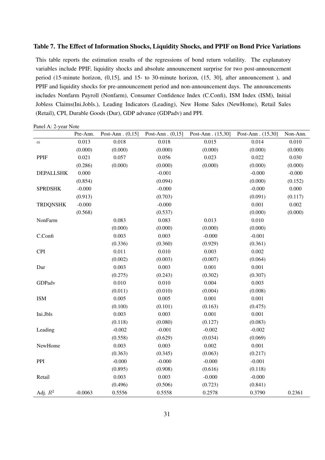#### Table 7. The Effect of Information Shocks, Liquidity Shocks, and PPIF on Bond Price Variations

This table reports the estimation results of the regressions of bond return volatility. The explanatory variables include PPIF, liquidity shocks and absolute announcement surprise for two post-announcement period (15-minute horizon, (0,15], and 15- to 30-minute horizon, (15, 30], after announcement ), and PPIF and liquidity shocks for pre-announcement period and non-announcement days. The announcements includes Nonfarm Payroll (Nonfarm), Consumer Confidence Index (C.Confi), ISM Index (ISM), Initial Jobless Claims(Ini.Jobls.), Leading Indicators (Leading), New Home Sales (NewHome), Retail Sales (Retail), CPI, Durable Goods (Dur), GDP advance (GDPadv) and PPI.

Panel A: 2-year Note

|                  | Pre-Ann.  | Post-Ann. $(0,15]$ | Post-Ann. $(0,15]$ | Post-Ann. (15,30] | Post-Ann. (15,30] | Non-Ann. |
|------------------|-----------|--------------------|--------------------|-------------------|-------------------|----------|
| $\alpha$         | 0.013     | 0.018              | 0.018              | 0.015             | 0.014             | 0.010    |
|                  | (0.000)   | (0.000)            | (0.000)            | (0.000)           | (0.000)           | (0.000)  |
| PPIF             | 0.021     | 0.057              | 0.056              | 0.023             | 0.022             | 0.030    |
|                  | (0.286)   | (0.000)            | (0.000)            | (0.000)           | (0.000)           | (0.000)  |
| <b>DEPALLSHK</b> | 0.000     |                    | $-0.001$           |                   | $-0.000$          | $-0.000$ |
|                  | (0.854)   |                    | (0.094)            |                   | (0.000)           | (0.152)  |
| <b>SPRDSHK</b>   | $-0.000$  |                    | $-0.000$           |                   | $-0.000$          | 0.000    |
|                  | (0.913)   |                    | (0.703)            |                   | (0.091)           | (0.117)  |
| <b>TRDQNSHK</b>  | $-0.000$  |                    | $-0.000$           |                   | 0.001             | 0.002    |
|                  | (0.568)   |                    | (0.537)            |                   | (0.000)           | (0.000)  |
| NonFarm          |           | 0.083              | 0.083              | 0.013             | 0.010             |          |
|                  |           | (0.000)            | (0.000)            | (0.000)           | (0.000)           |          |
| C.Confi          |           | 0.003              | 0.003              | $-0.000$          | $-0.001$          |          |
|                  |           | (0.336)            | (0.360)            | (0.929)           | (0.361)           |          |
| <b>CPI</b>       |           | 0.011              | 0.010              | 0.003             | 0.002             |          |
|                  |           | (0.002)            | (0.003)            | (0.007)           | (0.064)           |          |
| Dur              |           | 0.003              | 0.003              | 0.001             | 0.001             |          |
|                  |           | (0.275)            | (0.243)            | (0.302)           | (0.307)           |          |
| GDPadv           |           | 0.010              | 0.010              | 0.004             | 0.003             |          |
|                  |           | (0.011)            | (0.010)            | (0.004)           | (0.008)           |          |
| <b>ISM</b>       |           | 0.005              | 0.005              | 0.001             | 0.001             |          |
|                  |           | (0.100)            | (0.101)            | (0.163)           | (0.475)           |          |
| Ini.Jbls         |           | 0.003              | 0.003              | 0.001             | 0.001             |          |
|                  |           | (0.118)            | (0.080)            | (0.127)           | (0.083)           |          |
| Leading          |           | $-0.002$           | $-0.001$           | $-0.002$          | $-0.002$          |          |
|                  |           | (0.558)            | (0.629)            | (0.034)           | (0.069)           |          |
| NewHome          |           | 0.003              | 0.003              | 0.002             | 0.001             |          |
|                  |           | (0.363)            | (0.345)            | (0.063)           | (0.217)           |          |
| PPI              |           | $-0.000$           | $-0.000$           | $-0.000$          | $-0.001$          |          |
|                  |           | (0.895)            | (0.908)            | (0.616)           | (0.118)           |          |
| Retail           |           | 0.003              | 0.003              | $-0.000$          | $-0.000$          |          |
|                  |           | (0.496)            | (0.506)            | (0.723)           | (0.841)           |          |
| Adj. $R^2$       | $-0.0063$ | 0.5556             | 0.5558             | 0.2578            | 0.3790            | 0.2361   |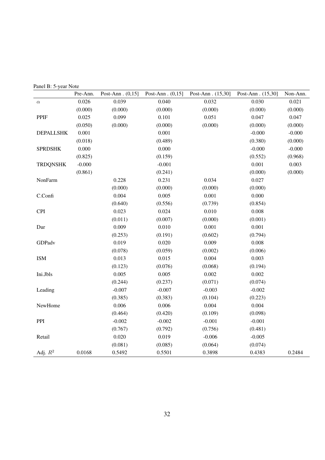|  | Panel B: 5-year Note |
|--|----------------------|
|--|----------------------|

|                  | Pre-Ann.<br>Post-Ann. $(0,15]$ |          | Post-Ann. $(0,15]$ | Post-Ann. (15,30] | Post-Ann. (15,30] | Non-Ann. |
|------------------|--------------------------------|----------|--------------------|-------------------|-------------------|----------|
| $\alpha$         | 0.026                          | 0.039    | 0.040              | 0.032             | 0.030             | 0.021    |
|                  | (0.000)                        | (0.000)  | (0.000)            | (0.000)           | (0.000)           | (0.000)  |
| PPIF             | 0.025                          | 0.099    | 0.101              | 0.051             | 0.047             | 0.047    |
|                  | (0.050)                        | (0.000)  | (0.000)            | (0.000)           | (0.000)           | (0.000)  |
| <b>DEPALLSHK</b> | 0.001                          |          | 0.001              |                   | $-0.000$          | $-0.000$ |
|                  | (0.018)                        |          | (0.489)            |                   | (0.380)           | (0.000)  |
| <b>SPRDSHK</b>   | 0.000                          |          | 0.000              |                   | $-0.000$          | $-0.000$ |
|                  | (0.825)                        |          | (0.159)            |                   | (0.552)           | (0.968)  |
| <b>TRDQNSHK</b>  | $-0.000$                       |          | $-0.001$           |                   | 0.001             | 0.003    |
|                  | (0.861)                        |          | (0.241)            |                   | (0.000)           | (0.000)  |
| NonFarm          |                                | 0.228    | 0.231              | 0.034             | 0.027             |          |
|                  |                                | (0.000)  | (0.000)            | (0.000)           | (0.000)           |          |
| C.Confi          |                                | 0.004    | 0.005              | 0.001             | 0.000             |          |
|                  |                                | (0.640)  | (0.556)            | (0.739)           | (0.854)           |          |
| <b>CPI</b>       |                                | 0.023    | 0.024              | 0.010             | 0.008             |          |
|                  |                                | (0.011)  | (0.007)            | (0.000)           | (0.001)           |          |
| Dur              |                                | 0.009    | 0.010              | 0.001             | 0.001             |          |
|                  |                                | (0.253)  | (0.191)            | (0.602)           | (0.794)           |          |
| GDPadv           |                                | 0.019    | 0.020              | 0.009             | 0.008             |          |
|                  |                                | (0.078)  | (0.059)            | (0.002)           | (0.006)           |          |
| <b>ISM</b>       |                                | 0.013    | 0.015              | 0.004             | 0.003             |          |
|                  |                                | (0.123)  | (0.076)            | (0.068)           | (0.194)           |          |
| Ini.Jbls         |                                | 0.005    | 0.005              | 0.002             | 0.002             |          |
|                  |                                | (0.244)  | (0.237)            | (0.071)           | (0.074)           |          |
| Leading          |                                | $-0.007$ | $-0.007$           | $-0.003$          | $-0.002$          |          |
|                  |                                | (0.385)  | (0.383)            | (0.104)           | (0.223)           |          |
| NewHome          |                                | 0.006    | 0.006              | 0.004             | 0.004             |          |
|                  |                                | (0.464)  | (0.420)            | (0.109)           | (0.098)           |          |
| PPI              |                                | $-0.002$ | $-0.002$           | $-0.001$          | $-0.001$          |          |
|                  |                                | (0.767)  | (0.792)            | (0.756)           | (0.481)           |          |
| Retail           |                                | 0.020    | 0.019              | $-0.006$          | $-0.005$          |          |
|                  |                                | (0.081)  | (0.085)            | (0.064)           | (0.074)           |          |
| Adj. $R^2$       | 0.0168                         | 0.5492   | 0.5501             | 0.3898            | 0.4383            | 0.2484   |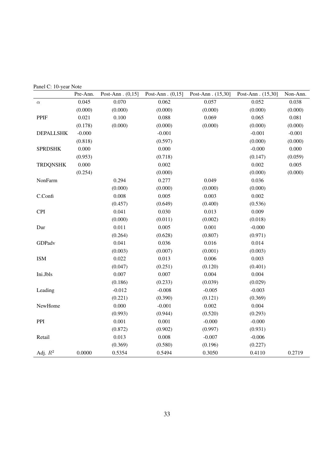Panel C: 10-year Note

|                  | Pre-Ann.<br>Post-Ann. $(0,15]$ |          | Post-Ann. $(0,15]$ | Post-Ann. (15,30] | Post-Ann. (15,30] | Non-Ann. |
|------------------|--------------------------------|----------|--------------------|-------------------|-------------------|----------|
| $\alpha$         | 0.045                          | 0.070    | 0.062              | 0.057             | 0.052             | 0.038    |
|                  | (0.000)                        | (0.000)  | (0.000)<br>(0.000) |                   | (0.000)           | (0.000)  |
| PPIF             | 0.021                          | 0.100    | 0.088              | 0.069             | 0.065             | 0.081    |
|                  | (0.178)                        | (0.000)  | (0.000)            | (0.000)           | (0.000)           | (0.000)  |
| <b>DEPALLSHK</b> | $-0.000$                       |          | $-0.001$           |                   | $-0.001$          | $-0.001$ |
|                  | (0.818)                        |          | (0.597)            |                   | (0.000)           | (0.000)  |
| <b>SPRDSHK</b>   | 0.000                          |          | 0.000              |                   | $-0.000$          | 0.000    |
|                  | (0.953)                        |          | (0.718)            |                   | (0.147)           | (0.059)  |
| <b>TRDQNSHK</b>  | 0.000                          |          | 0.002              |                   | 0.002             | 0.005    |
|                  | (0.254)                        |          | (0.000)            |                   | (0.000)           | (0.000)  |
| NonFarm          |                                | 0.294    | 0.277              | 0.049             | 0.036             |          |
|                  |                                | (0.000)  | (0.000)            | (0.000)           | (0.000)           |          |
| C.Confi          |                                | 0.008    | 0.005              | 0.003             | 0.002             |          |
|                  |                                | (0.457)  | (0.649)            | (0.400)           | (0.536)           |          |
| <b>CPI</b>       |                                | 0.041    | 0.030              | 0.013             | 0.009             |          |
|                  |                                | (0.000)  | (0.011)            | (0.002)           | (0.018)           |          |
| Dur              |                                | 0.011    | 0.005              | 0.001             | $-0.000$          |          |
|                  |                                | (0.264)  | (0.628)            | (0.807)           | (0.971)           |          |
| GDPadv           |                                | 0.041    | 0.036              | 0.016             | 0.014             |          |
|                  |                                | (0.003)  | (0.007)            | (0.001)           | (0.003)           |          |
| <b>ISM</b>       |                                | 0.022    | 0.013              | 0.006             | 0.003             |          |
|                  |                                | (0.047)  | (0.251)            | (0.120)           | (0.401)           |          |
| Ini.Jbls         |                                | 0.007    | 0.007              | 0.004             | 0.004             |          |
|                  |                                | (0.186)  | (0.233)            | (0.039)           | (0.029)           |          |
| Leading          |                                | $-0.012$ | $-0.008$           | $-0.005$          | $-0.003$          |          |
|                  |                                | (0.221)  | (0.390)            | (0.121)           | (0.369)           |          |
| NewHome          |                                | 0.000    | $-0.001$           | 0.002             | 0.004             |          |
|                  |                                | (0.993)  | (0.944)            | (0.520)           | (0.293)           |          |
| PPI              |                                | 0.001    | 0.001              | $-0.000$          | $-0.000$          |          |
|                  |                                | (0.872)  | (0.902)            | (0.997)           | (0.931)           |          |
| Retail           |                                | 0.013    | 0.008              | $-0.007$          | $-0.006$          |          |
|                  |                                | (0.369)  | (0.580)            | (0.196)           | (0.227)           |          |
| Adj. $R^2$       | 0.0000                         | 0.5354   | 0.5494             | 0.3050            | 0.4110            | 0.2719   |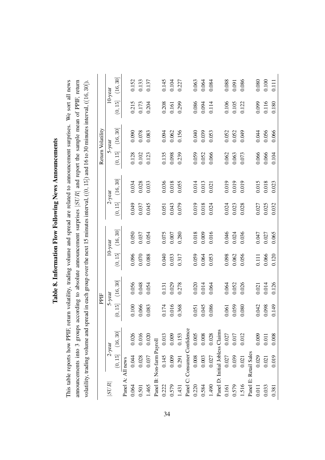| -<br>-<br>-<br>-<br>í                                                             |
|-----------------------------------------------------------------------------------|
| ١<br>۱<br>;                                                                       |
| ֖֖֧֧֧֧֧֧֧֧֧֧֧֧֧֧֧֧֧֧֧֧֧֚֚֚֚֚֚֚֚֚֚֚֚֚֡֬֝֝֓֝֓֝֬֝֓֝֬֝֓֝֬֝֓֝֬֝֓֝֬֝֬֝֬֝֬֝֬֝֬֝֬֝֬֝֬֝֬֝֬ |
| $\frac{1}{2}$<br>j                                                                |
| $\frac{1}{2}$                                                                     |
| ֚                                                                                 |
| 5                                                                                 |
| l                                                                                 |

This table reports how PPIF, return volatility, trading volume and spread are related to announcement surprises. We sort all news announcements into 3 groups according to absolute announcement surprises  $|SUR|$  and report the sample mean of PPIF, return volatility, trading volume and spread in each group over the next 15 minutes interval,  $((0, 15])$  and 16 to 30 minutes interval,  $((16, 30])$ . This table reports how PPIF, return volatility, trading volume and spread are related to announcement surprises. We sort all news announcements into 3 groups according to absolute announcement surprises *|SUR|* and report the sample mean of PPIF, return volatility, trading volume and spread in each group over the next 15 minutes interval, ((0*,* 15]) and 16 to 30 minutes interval, ((16*,* 30]).

| 5-year                                                              |
|---------------------------------------------------------------------|
| $\left(0,15\right]$<br>$\left( 16,30\right]$<br>$\left(0,15\right]$ |
|                                                                     |
| 0.056<br>0.100                                                      |
| 0.048<br>0.066                                                      |
| 0.054<br>0.083                                                      |
|                                                                     |
| 0.131<br>0.174                                                      |
| 0.029<br>0.016                                                      |
| 0.278<br>0.368                                                      |
|                                                                     |
| 0.020<br>0.051                                                      |
| 0.014<br>0.045                                                      |
| 0.064<br>0.086                                                      |
|                                                                     |
| 0.064<br>0.061                                                      |
| 0.052<br>0.059                                                      |
| 0.026<br>0.080                                                      |
|                                                                     |
| 0.021<br>0.042                                                      |
| 0.014<br>0.098                                                      |
| 0.126<br>0.149                                                      |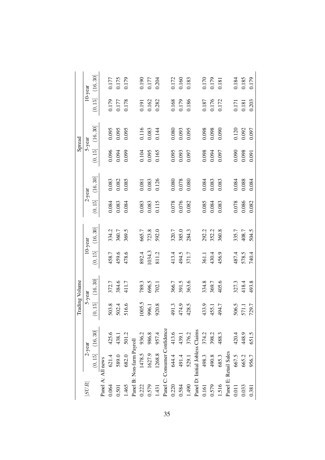|                   |                                 |           |                                  | Trading Volume       |                     |                      |                     |           |                     | Spread               |                       |                         |
|-------------------|---------------------------------|-----------|----------------------------------|----------------------|---------------------|----------------------|---------------------|-----------|---------------------|----------------------|-----------------------|-------------------------|
| $ SUR $           |                                 | $2$ -year |                                  | 5-year               |                     | $10$ -year           |                     | $2$ -year |                     | 5-year               |                       | $10$ -year              |
|                   | (0, 15]                         | (16, 30]  | $\overline{15}$<br>Ś             | $\left(16,30\right]$ | $\left(0,15\right]$ | $\left(16,30\right]$ | $\left(0,15\right]$ | (16, 30]  | $\left(0,15\right]$ | $\left(16,30\right]$ | (0, 15]               | (16, 30]                |
| Panel A: All news |                                 |           |                                  |                      |                     |                      |                     |           |                     |                      |                       |                         |
| 0.064             | 621.4                           | 425.6     | 3.8<br>S                         | 372.7                | 458.7               | 334.2                | 0.084               | 0.083     | 0.096               | 0.095                | 0.179                 | 0.177                   |
| 0.501             | 589.0                           | 438.1     | 502.4                            | 384.6                | 459.6               | 360.7                | 0.083               | 0.082     | 0.094               | 0.095                | 0.177                 | 0.175<br>0.179          |
| 1.465             | 682.0                           | 501.2     | 6.6<br>51                        | 411.7                | 478.6               | 369.5                | 0.084               | 0.085     | 0.099               | 0.095                | 0.178                 |                         |
|                   | Panel B: Non-farm Payroll       |           |                                  |                      |                     |                      |                     |           |                     |                      |                       |                         |
| 0.222             | 1478.5                          | 936.2     | 1005.5                           | 789.3                | 892.4               | 665.7                | 0.083               | 0.081     | $0.104$             | 0.116                | 0.191                 |                         |
| 0.579             | 1627.9                          | 986.8     | 996.1                            | 696.5                | 1034.3              | 723.8                | 0.083               | 0.083     | 0.095               | 0.083                | 0.162                 | 0.190<br>0.177<br>0.204 |
| 1.431             | 1268.8                          | 957.4     | 920.8                            | 702.1                | 811.2               | 592.0                | 0.115               | 0.126     | 0.165               | 0.144                | 0.282                 |                         |
|                   | Panel C: Consumer Confidence    |           |                                  |                      |                     |                      |                     |           |                     |                      |                       |                         |
| 0.220             | 644.4                           | 413.6     | 491.3                            | 366.7                | 413.4               | 320.7                | 0.078               | 0.080     | 0.095               | $0.080\,$            |                       |                         |
| 0.584             | 491.4                           | 439.1     | 474.9                            | 391.5                | 494.5               | 385.0                | 0.076               | 0.078     | 0.093               | 0.093                | 0.168<br>0.179        | 0.172<br>0.160<br>0.183 |
| 1.490             | 529.1                           | 376.2     | 2.8.5<br>$\beta$                 | 363.6                | 371.7               | 284.3                | 0.082               | 0.080     | 0.097               | 0.095                | 0.186                 |                         |
|                   | Panel D: Initial Jobless Claims |           |                                  |                      |                     |                      |                     |           |                     |                      |                       |                         |
| 0.161             | 498.3                           | 374.2     | $\frac{3}{4}$                    | 334.8                | 361.1               | 292.2                | 0.085               | 0.084     | 0.098               | 0.098                |                       |                         |
| 0.579             | 490.8                           | 398.2     | $3.9$<br>$5.1$<br>$\mathfrak{F}$ | 369.7                | 430.4               | 352.2                | 0.084               | 0.083     | 0.094               | 0.098                | 0.187<br>0.176        | 0.170<br>0.179<br>0.181 |
| 1.516             | 685.3                           | 488.3     | 494.7                            | 405.6                | 456.9               | 360.8                | 0.083               | 0.083     | 0.097               | 0.090                | 0.172                 |                         |
|                   | Panel E: Retail Sales           |           |                                  |                      |                     |                      |                     |           |                     |                      |                       |                         |
| 0.011             | 667.5                           | 420.4     | 0.5<br>S                         | 327.3                | 487.4               | 335.7                | 0.078               | 0.084     | 0.090               | 0.120                |                       |                         |
| 0.033             | 665.2                           | 448.9     | 571.1                            | 418.4                | 578.5               | 408.7                | 0.086               | 0.088     | 0.098               | 0.092                | $\frac{0.171}{0.181}$ | $\frac{0.184}{0.185}$   |
| 0.381             | 956.7                           | 651.5     | 729.7                            | 493.8                | 740.4               | 504.5                | 0.082               | 0.084     | 0.091               | 0.097                | 0.203                 | 0.179                   |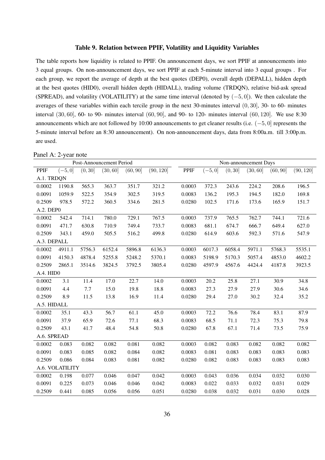#### Table 9. Relation between PPIF, Volatility and Liquidity Variables

The table reports how liquidity is related to PPIF. On announcement days, we sort PPIF at announcements into 3 equal groups. On non-announcement days, we sort PPIF at each 5-minute interval into 3 equal groups . For each group, we report the average of depth at the best quotes (DEP0), overall depth (DEPALL), hidden depth at the best quotes (HID0), overall hidden depth (HIDALL), trading volume (TRDQN), relative bid-ask spread (SPREAD), and volatility (VOLATILITY) at the same time interval (denoted by (*−*5*,* 0]). We then calculate the averages of these variables within each tercile group in the next 30-minutes interval (0*,* 30], 30- to 60- minutes interval (30*,* 60], 60- to 90- minutes interval (60*,* 90], and 90- to 120- minutes interval (60*,* 120]. We use 8:30 announcements which are not followed by 10:00 announcements to get cleaner results (i.e. (*−*5*,* 0] represents the 5-minute interval before an 8:30 announcement). On non-announcement days, data from 8:00a.m. till 3:00p.m. are used.

| Panel A: 2-year note |
|----------------------|
|                      |

| Post-Announcement Period |                 |         |          |          |           | Non-announcement Days |           |         |          |          |           |
|--------------------------|-----------------|---------|----------|----------|-----------|-----------------------|-----------|---------|----------|----------|-----------|
| PPIF                     | $(-5, 0]$       | (0, 30] | (30, 60] | (60, 90] | (90, 120] | <b>PPIF</b>           | $(-5, 0]$ | (0, 30] | (30, 60] | (60, 90] | (90, 120] |
| A.1. TRDQN               |                 |         |          |          |           |                       |           |         |          |          |           |
| 0.0002                   | 1190.8          | 565.3   | 363.7    | 351.7    | 321.2     | 0.0003                | 372.3     | 243.6   | 224.2    | 208.6    | 196.5     |
| 0.0091                   | 1059.9          | 522.5   | 354.9    | 302.5    | 319.5     | 0.0083                | 136.2     | 195.3   | 194.5    | 182.0    | 169.8     |
| 0.2509                   | 978.5           | 572.2   | 360.5    | 334.6    | 281.5     | 0.0280                | 102.5     | 171.6   | 173.6    | 165.9    | 151.7     |
| A.2. DEP0                |                 |         |          |          |           |                       |           |         |          |          |           |
| 0.0002                   | 542.4           | 714.1   | 780.0    | 729.1    | 767.5     | 0.0003                | 737.9     | 765.5   | 762.7    | 744.1    | 721.6     |
| 0.0091                   | 471.7           | 630.8   | 710.9    | 749.4    | 733.7     | 0.0083                | 681.1     | 674.7   | 666.7    | 649.4    | 627.0     |
| 0.2509                   | 343.1           | 459.0   | 505.5    | 516.2    | 499.8     | 0.0280                | 614.9     | 603.6   | 592.3    | 571.6    | 547.9     |
| A.3. DEPALL              |                 |         |          |          |           |                       |           |         |          |          |           |
| 0.0002                   | 4911.1          | 5756.3  | 6152.4   | 5896.8   | 6136.3    | 0.0003                | 6017.3    | 6058.4  | 5971.1   | 5768.3   | 5535.1    |
| 0.0091                   | 4150.3          | 4878.4  | 5255.8   | 5248.2   | 5370.1    | 0.0083                | 5198.9    | 5170.3  | 5057.4   | 4853.0   | 4602.2    |
| 0.2509                   | 2865.1          | 3514.6  | 3824.5   | 3792.5   | 3805.4    | 0.0280                | 4597.9    | 4567.6  | 4424.4   | 4187.8   | 3923.5    |
| A.4. HID0                |                 |         |          |          |           |                       |           |         |          |          |           |
| 0.0002                   | 3.1             | 11.4    | 17.0     | 22.7     | 14.0      | 0.0003                | 20.2      | 25.8    | 27.1     | 30.9     | 34.8      |
| 0.0091                   | 4.4             | 7.7     | 15.0     | 19.8     | 18.8      | 0.0083                | 27.3      | 27.9    | 27.9     | 30.6     | 34.6      |
| 0.2509                   | 8.9             | 11.5    | 13.8     | 16.9     | 11.4      | 0.0280                | 29.4      | 27.0    | 30.2     | 32.4     | 35.2      |
| A.5. HIDALL              |                 |         |          |          |           |                       |           |         |          |          |           |
| 0.0002                   | 35.1            | 43.3    | 56.7     | 61.1     | 45.0      | 0.0003                | 72.2      | 76.6    | 78.4     | 83.1     | 87.9      |
| 0.0091                   | 37.9            | 65.9    | 72.6     | 77.1     | 68.3      | 0.0083                | 68.5      | 71.1    | 72.3     | 75.3     | 79.8      |
| 0.2509                   | 43.1            | 41.7    | 48.4     | 54.8     | 50.8      | 0.0280                | 67.8      | 67.1    | 71.4     | 73.5     | 75.9      |
| A.6. SPREAD              |                 |         |          |          |           |                       |           |         |          |          |           |
| 0.0002                   | 0.083           | 0.082   | 0.082    | 0.081    | 0.082     | 0.0003                | 0.082     | 0.083   | 0.082    | 0.082    | 0.082     |
| 0.0091                   | 0.083           | 0.085   | 0.082    | 0.084    | 0.082     | 0.0083                | 0.081     | 0.083   | 0.083    | 0.083    | 0.083     |
| 0.2509                   | 0.086           | 0.084   | 0.083    | 0.081    | 0.082     | 0.0280                | 0.082     | 0.083   | 0.083    | 0.083    | 0.083     |
|                          | A.6. VOLATILITY |         |          |          |           |                       |           |         |          |          |           |
| 0.0002                   | 0.198           | 0.077   | 0.046    | 0.047    | 0.042     | 0.0003                | 0.043     | 0.036   | 0.034    | 0.032    | 0.030     |
| 0.0091                   | 0.225           | 0.073   | 0.046    | 0.046    | 0.042     | 0.0083                | 0.022     | 0.033   | 0.032    | 0.031    | 0.029     |
| 0.2509                   | 0.441           | 0.085   | 0.056    | 0.056    | 0.051     | 0.0280                | 0.038     | 0.032   | 0.031    | 0.030    | 0.028     |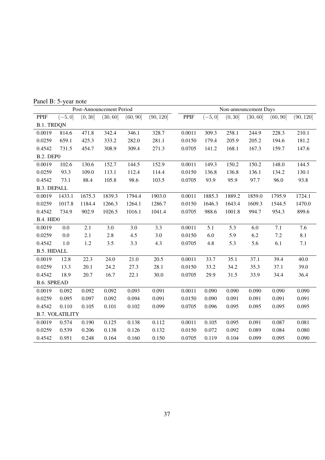|                    | Post-Announcement Period |         |          |          |           |             | Non-announcement Days |         |          |          |           |  |  |
|--------------------|--------------------------|---------|----------|----------|-----------|-------------|-----------------------|---------|----------|----------|-----------|--|--|
| <b>PPIF</b>        | $(-5, 0]$                | (0, 30] | (30, 60] | (60, 90] | (90, 120] | <b>PPIF</b> | $(-5,0]$              | (0, 30] | (30, 60] | (60, 90] | (90, 120] |  |  |
| <b>B.1. TRDQN</b>  |                          |         |          |          |           |             |                       |         |          |          |           |  |  |
| 0.0019             | 814.6                    | 471.8   | 342.4    | 346.1    | 328.7     | 0.0011      | 309.3                 | 258.1   | 244.9    | 228.3    | 210.1     |  |  |
| 0.0259             | 659.1                    | 425.3   | 333.2    | 282.0    | 281.1     | 0.0150      | 179.4                 | 205.9   | 205.2    | 194.6    | 181.2     |  |  |
| 0.4542             | 731.5                    | 454.7   | 308.9    | 309.4    | 271.3     | 0.0705      | 141.2                 | 168.1   | 167.3    | 159.7    | 147.6     |  |  |
| <b>B.2. DEPO</b>   |                          |         |          |          |           |             |                       |         |          |          |           |  |  |
| 0.0019             | 102.6                    | 130.6   | 152.7    | 144.5    | 152.9     | 0.0011      | 149.3                 | 150.2   | 150.2    | 148.0    | 144.5     |  |  |
| 0.0259             | 93.3                     | 109.0   | 113.1    | 112.4    | 114.4     | 0.0150      | 136.8                 | 136.8   | 136.1    | 134.2    | 130.1     |  |  |
| 0.4542             | 73.1                     | 88.4    | 105.8    | 98.6     | 103.5     | 0.0705      | 93.9                  | 95.9    | 97.7     | 96.0     | 93.8      |  |  |
| <b>B.3. DEPALL</b> |                          |         |          |          |           |             |                       |         |          |          |           |  |  |
| 0.0019             | 1433.1                   | 1675.3  | 1839.3   | 1794.4   | 1903.0    | 0.0011      | 1885.3                | 1889.2  | 1859.0   | 1795.9   | 1724.1    |  |  |
| 0.0259             | 1017.8                   | 1184.4  | 1266.3   | 1264.1   | 1286.7    | 0.0150      | 1646.3                | 1643.4  | 1609.3   | 1544.5   | 1470.0    |  |  |
| 0.4542             | 734.9                    | 902.9   | 1026.5   | 1016.1   | 1041.4    | 0.0705      | 988.6                 | 1001.8  | 994.7    | 954.3    | 899.6     |  |  |
| <b>B.4. HIDO</b>   |                          |         |          |          |           |             |                       |         |          |          |           |  |  |
| 0.0019             | 0.0                      | 2.1     | 3.0      | 3.0      | 3.3       | 0.0011      | 5.1                   | 5.3     | 6.0      | 7.1      | 7.6       |  |  |
| 0.0259             | 0.0                      | 2.1     | 2.8      | 4.5      | 3.0       | 0.0150      | 6.0                   | 5.9     | 6.2      | 7.2      | 8.1       |  |  |
| 0.4542             | 1.0                      | 1.2     | 3.5      | 3.3      | 4.3       | 0.0705      | 4.8                   | 5.3     | 5.6      | 6.1      | 7.1       |  |  |
| <b>B.5. HIDALL</b> |                          |         |          |          |           |             |                       |         |          |          |           |  |  |
| 0.0019             | 12.8                     | 22.3    | 24.0     | 21.0     | 20.5      | 0.0011      | 33.7                  | 35.1    | 37.1     | 39.4     | 40.0      |  |  |
| 0.0259             | 13.3                     | 20.1    | 24.2     | 27.3     | 28.1      | 0.0150      | 33.2                  | 34.2    | 35.3     | 37.1     | 39.0      |  |  |
| 0.4542             | 18.9                     | 20.7    | 16.7     | 22.1     | 30.0      | 0.0705      | 29.9                  | 31.5    | 33.9     | 34.4     | 36.4      |  |  |
| <b>B.6. SPREAD</b> |                          |         |          |          |           |             |                       |         |          |          |           |  |  |
| 0.0019             | 0.092                    | 0.092   | 0.092    | 0.093    | 0.091     | 0.0011      | 0.090                 | 0.090   | 0.090    | 0.090    | 0.090     |  |  |
| 0.0259             | 0.095                    | 0.097   | 0.092    | 0.094    | 0.091     | 0.0150      | 0.090                 | 0.091   | 0.091    | 0.091    | 0.091     |  |  |
| 0.4542             | 0.110                    | 0.105   | 0.101    | 0.102    | 0.099     | 0.0705      | 0.096                 | 0.095   | 0.095    | 0.095    | 0.095     |  |  |
|                    | <b>B.7. VOLATILITY</b>   |         |          |          |           |             |                       |         |          |          |           |  |  |
| 0.0019             | 0.574                    | 0.190   | 0.125    | 0.138    | 0.112     | 0.0011      | 0.105                 | 0.095   | 0.091    | 0.087    | 0.081     |  |  |
| 0.0259             | 0.539                    | 0.206   | 0.138    | 0.126    | 0.132     | 0.0150      | 0.072                 | 0.092   | 0.089    | 0.084    | 0.080     |  |  |
| 0.4542             | 0.951                    | 0.248   | 0.164    | 0.160    | 0.150     | 0.0705      | 0.119                 | 0.104   | 0.099    | 0.095    | 0.090     |  |  |

Panel B: 5-year note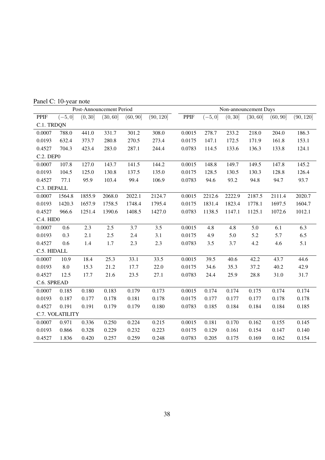|                  | Post-Announcement Period |         |          |          |           |             | Non-announcement Days |         |          |          |           |  |  |
|------------------|--------------------------|---------|----------|----------|-----------|-------------|-----------------------|---------|----------|----------|-----------|--|--|
| <b>PPIF</b>      | $(-5,0]$                 | (0, 30] | (30, 60] | (60, 90] | (90, 120] | <b>PPIF</b> | $(-5, 0]$             | (0, 30] | (30, 60] | (60, 90] | (90, 120] |  |  |
| C.1. TRDQN       |                          |         |          |          |           |             |                       |         |          |          |           |  |  |
| 0.0007           | 788.0                    | 441.0   | 331.7    | 301.2    | 308.0     | 0.0015      | 278.7                 | 233.2   | 218.0    | 204.0    | 186.3     |  |  |
| 0.0193           | 632.4                    | 373.7   | 280.8    | 270.5    | 273.4     | 0.0175      | 147.1                 | 172.5   | 171.9    | 161.8    | 153.1     |  |  |
| 0.4527           | 704.3                    | 423.4   | 283.0    | 287.1    | 244.4     | 0.0783      | 114.5                 | 133.6   | 136.3    | 133.8    | 124.1     |  |  |
| <b>C.2. DEP0</b> |                          |         |          |          |           |             |                       |         |          |          |           |  |  |
| 0.0007           | 107.8                    | 127.0   | 143.7    | 141.5    | 144.2     | 0.0015      | 148.8                 | 149.7   | 149.5    | 147.8    | 145.2     |  |  |
| 0.0193           | 104.5                    | 125.0   | 130.8    | 137.5    | 135.0     | 0.0175      | 128.5                 | 130.5   | 130.3    | 128.8    | 126.4     |  |  |
| 0.4527           | 77.1                     | 95.9    | 103.4    | 99.4     | 106.9     | 0.0783      | 94.6                  | 93.2    | 94.8     | 94.7     | 93.7      |  |  |
| C.3. DEPALL      |                          |         |          |          |           |             |                       |         |          |          |           |  |  |
| 0.0007           | 1564.8                   | 1855.9  | 2068.0   | 2022.1   | 2124.7    | 0.0015      | 2212.6                | 2222.9  | 2187.5   | 2111.4   | 2020.7    |  |  |
| 0.0193           | 1420.3                   | 1657.9  | 1758.5   | 1748.4   | 1795.4    | 0.0175      | 1831.4                | 1823.4  | 1778.1   | 1697.5   | 1604.7    |  |  |
| 0.4527           | 966.6                    | 1251.4  | 1390.6   | 1408.5   | 1427.0    | 0.0783      | 1138.5                | 1147.1  | 1125.1   | 1072.6   | 1012.1    |  |  |
| C.4. HIDO        |                          |         |          |          |           |             |                       |         |          |          |           |  |  |
| 0.0007           | 0.6                      | 2.3     | 2.5      | 3.7      | 3.5       | 0.0015      | 4.8                   | 4.8     | 5.0      | 6.1      | 6.3       |  |  |
| 0.0193           | 0.3                      | 2.1     | 2.5      | 2.4      | 3.1       | 0.0175      | 4.9                   | 5.0     | 5.2      | 5.7      | 6.5       |  |  |
| 0.4527           | 0.6                      | 1.4     | 1.7      | 2.3      | 2.3       | 0.0783      | 3.5                   | 3.7     | 4.2      | 4.6      | 5.1       |  |  |
| C.5. HIDALL      |                          |         |          |          |           |             |                       |         |          |          |           |  |  |
| 0.0007           | 10.9                     | 18.4    | 25.3     | 33.1     | 33.5      | 0.0015      | 39.5                  | 40.6    | 42.2     | 43.7     | 44.6      |  |  |
| 0.0193           | $8.0\,$                  | 15.3    | 21.2     | 17.7     | 22.0      | 0.0175      | 34.6                  | 35.3    | 37.2     | 40.2     | 42.9      |  |  |
| 0.4527           | 12.5                     | 17.7    | 21.6     | 23.5     | 27.1      | 0.0783      | 24.4                  | 25.9    | 28.8     | 31.0     | 31.7      |  |  |
| C.6. SPREAD      |                          |         |          |          |           |             |                       |         |          |          |           |  |  |
| 0.0007           | 0.185                    | 0.180   | 0.183    | 0.179    | 0.173     | 0.0015      | 0.174                 | 0.174   | 0.175    | 0.174    | 0.174     |  |  |
| 0.0193           | 0.187                    | 0.177   | 0.178    | 0.181    | 0.178     | 0.0175      | 0.177                 | 0.177   | 0.177    | 0.178    | 0.178     |  |  |
| 0.4527           | 0.191                    | 0.191   | 0.179    | 0.179    | 0.180     | 0.0783      | 0.185                 | 0.184   | 0.184    | 0.184    | 0.185     |  |  |
|                  | C.7. VOLATILITY          |         |          |          |           |             |                       |         |          |          |           |  |  |
| 0.0007           | 0.971                    | 0.336   | 0.250    | 0.224    | 0.215     | 0.0015      | 0.181                 | 0.170   | 0.162    | 0.155    | 0.145     |  |  |
| 0.0193           | 0.866                    | 0.328   | 0.229    | 0.232    | 0.223     | 0.0175      | 0.129                 | 0.161   | 0.154    | 0.147    | 0.140     |  |  |
| 0.4527           | 1.836                    | 0.420   | 0.257    | 0.259    | 0.248     | 0.0783      | 0.205                 | 0.175   | 0.169    | 0.162    | 0.154     |  |  |

Panel C: 10-year note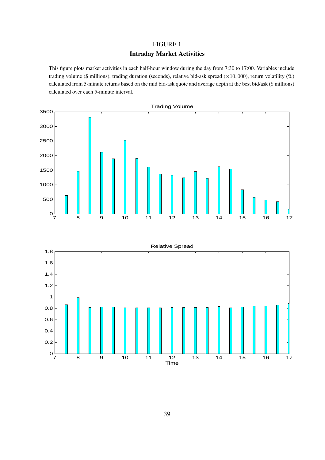## FIGURE 1

#### Intraday Market Activities

This figure plots market activities in each half-hour window during the day from 7:30 to 17:00. Variables include trading volume (\$ millions), trading duration (seconds), relative bid-ask spread ( $\times$ 10, 000), return volatility (%) calculated from 5-minute returns based on the mid bid-ask quote and average depth at the best bid/ask (\$ millions) calculated over each 5-minute interval.

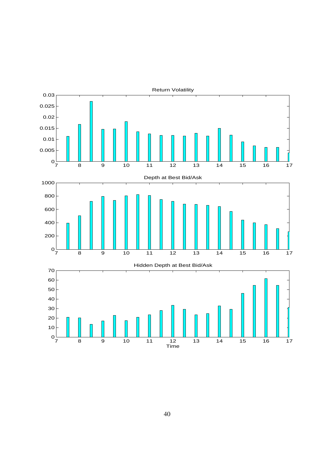